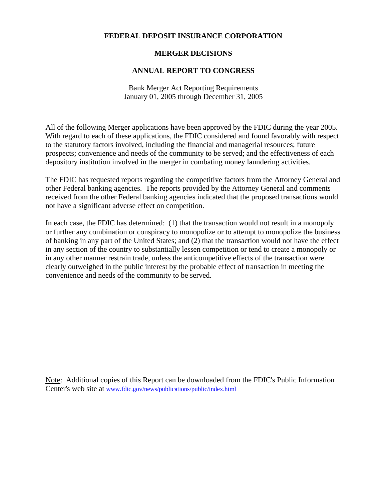### **FEDERAL DEPOSIT INSURANCE CORPORATION**

### **MERGER DECISIONS**

### **ANNUAL REPORT TO CONGRESS**

Bank Merger Act Reporting Requirements January 01, 2005 through December 31, 2005

All of the following Merger applications have been approved by the FDIC during the year 2005. With regard to each of these applications, the FDIC considered and found favorably with respect to the statutory factors involved, including the financial and managerial resources; future prospects; convenience and needs of the community to be served; and the effectiveness of each depository institution involved in the merger in combating money laundering activities.

The FDIC has requested reports regarding the competitive factors from the Attorney General and other Federal banking agencies. The reports provided by the Attorney General and comments received from the other Federal banking agencies indicated that the proposed transactions would not have a significant adverse effect on competition.

In each case, the FDIC has determined: (1) that the transaction would not result in a monopoly or further any combination or conspiracy to monopolize or to attempt to monopolize the business of banking in any part of the United States; and (2) that the transaction would not have the effect in any section of the country to substantially lessen competition or tend to create a monopoly or in any other manner restrain trade, unless the anticompetitive effects of the transaction were clearly outweighed in the public interest by the probable effect of transaction in meeting the convenience and needs of the community to be served.

Note: Additional copies of this Report can be downloaded from the FDIC's Public Information Center's web site at www.fdic.gov/news/publications/public/index.html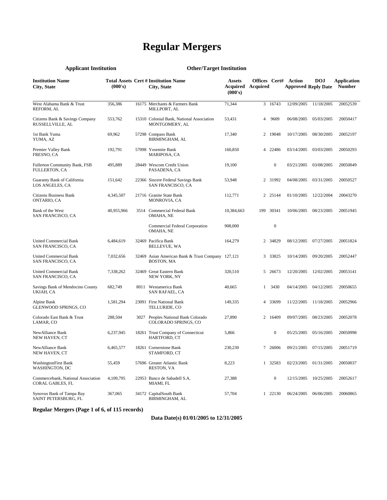# **Regular Mergers**

## **Applicant Institution Other/Target Institution**

| <b>Institution Name</b><br>City, State                 | (000's)    |      | <b>Total Assets Cert # Institution Name</b><br>City, State             | <b>Assets</b><br><b>Acquired</b> Acquired<br>(000's) | Offices Cert#  |                  | Action<br><b>Approved Reply Date</b> | <b>DOJ</b>            | <b>Application</b><br><b>Number</b> |
|--------------------------------------------------------|------------|------|------------------------------------------------------------------------|------------------------------------------------------|----------------|------------------|--------------------------------------|-----------------------|-------------------------------------|
| West Alabama Bank & Trust<br>REFORM, AL                | 356,386    |      | 16175 Merchants & Farmers Bank<br>MILLPORT, AL                         | 71.344                                               |                | 3 16743          | 12/09/2005                           | 11/18/2005            | 20052539                            |
| Citizens Bank & Savings Company<br>RUSSELLVILLE, AL    | 553,762    |      | 15310 Colonial Bank, National Association<br>MONTGOMERY, AL            | 53,431                                               | $\overline{4}$ | 9609             | 06/08/2005                           | 05/03/2005            | 20050417                            |
| 1st Bank Yuma<br>YUMA, AZ                              | 69,962     |      | 57298 Compass Bank<br><b>BIRMINGHAM, AL</b>                            | 17,340                                               |                | 2 19048          | 10/17/2005                           | 08/30/2005            | 20052197                            |
| Premier Valley Bank<br>FRESNO, CA                      | 192,791    |      | 57098 Yosemite Bank<br>MARIPOSA, CA                                    | 160,850                                              |                | 4 22486          | 03/14/2005                           | 03/03/2005            | 20050293                            |
| Fullerton Community Bank, FSB<br>FULLERTON, CA         | 495,889    |      | 28449 Wescom Credit Union<br>PASADENA, CA                              | 19,100                                               |                | $\mathbf{0}$     | 03/21/2005                           | 03/08/2005            | 20050049                            |
| Guaranty Bank of California<br>LOS ANGELES, CA         | 151,642    |      | 22366 Sincere Federal Savings Bank<br>SAN FRANCISCO, CA                | 53,948                                               |                | 2 31992          | 04/08/2005                           | 03/31/2005            | 20050527                            |
| <b>Citizens Business Bank</b><br>ONTARIO, CA           | 4,345,507  |      | 21716 Granite State Bank<br>MONROVIA, CA                               | 112,771                                              |                | 2 25144          | 01/10/2005                           | 12/22/2004            | 20043270                            |
| Bank of the West<br><b>SAN FRANCISCO, CA</b>           | 40,955,966 | 3514 | Commercial Federal Bank<br>OMAHA, NE                                   | 10,384,663                                           | 199            | 30341            | 10/06/2005                           | 08/23/2005            | 20051945                            |
|                                                        |            |      | Commercial Federal Corporation<br>OMAHA, NE                            | 908,000                                              |                | $\boldsymbol{0}$ |                                      |                       |                                     |
| <b>United Commercial Bank</b><br>SAN FRANCISCO, CA     | 6,484,619  |      | 32469 Pacifica Bank<br><b>BELLEVUE, WA</b>                             | 164,279                                              |                | 2 34829          | 08/12/2005                           | 07/27/2005            | 20051824                            |
| <b>United Commercial Bank</b><br>SAN FRANCISCO, CA     | 7,032,656  |      | 32469 Asian American Bank & Trust Company 127,121<br><b>BOSTON, MA</b> |                                                      |                | 3 33825          | 10/14/2005                           | 09/20/2005            | 20052447                            |
| United Commercial Bank<br>SAN FRANCISCO, CA            | 7,338,262  |      | 32469 Great Eastern Bank<br>NEW YORK, NY                               | 320,510                                              |                | 5 26673          | 12/20/2005                           | 12/02/2005            | 20053141                            |
| Savings Bank of Mendocino County<br>UKIAH, CA          | 682,749    |      | 8011 Westamerica Bank<br>SAN RAFAEL, CA                                | 40,665                                               | $\mathbf{1}$   | 3430             | 04/14/2005                           | 04/12/2005            | 20050655                            |
| Alpine Bank<br>GLENWOOD SPRINGS, CO                    | 1,581,294  |      | 23091 First National Bank<br>TELLURIDE, CO                             | 149.335                                              |                | 4 33699          | 11/22/2005                           | 11/18/2005            | 20052966                            |
| Colorado East Bank & Trust<br>LAMAR, CO                | 288,504    |      | 3027 Peoples National Bank Colorado<br>COLORADO SPRINGS, CO            | 27,890                                               |                | 2 16409          | 09/07/2005                           | 08/23/2005            | 20052078                            |
| NewAlliance Bank<br>NEW HAVEN, CT                      | 6,237,945  |      | 18261 Trust Company of Connecticut<br>HARTFORD, CT                     | 5,866                                                |                | $\boldsymbol{0}$ | 05/25/2005                           | 05/16/2005            | 20050998                            |
| NewAlliance Bank<br>NEW HAVEN, CT                      | 6,465,577  |      | 18261 Cornerstone Bank<br>STAMFORD, CT                                 | 230,230                                              |                | 7 26006          | 09/21/2005                           | 07/15/2005            | 20051719                            |
| <b>WashingtonFirst Bank</b><br>WASHINGTON, DC          | 55,459     |      | 57696 Greater Atlantic Bank<br><b>RESTON, VA</b>                       | 8,223                                                |                | 1 32583          | 02/23/2005                           | 01/31/2005            | 20050037                            |
| Commercebank, National Association<br>CORAL GABLES, FL | 4,109,795  |      | 22953 Banco de Sabadell S.A.<br>MIAMI, FL                              | 27,388                                               |                | $\boldsymbol{0}$ | 12/15/2005                           | 10/25/2005            | 20052617                            |
| Synovus Bank of Tampa Bay<br>SAINT PETERSBURG, FL      | 367,065    |      | 34172 CapitalSouth Bank<br>BIRMINGHAM, AL                              | 57,704                                               |                | 1 22130          |                                      | 06/24/2005 06/06/2005 | 20060865                            |

#### **Regular Mergers (Page 1 of 6, of 115 records)**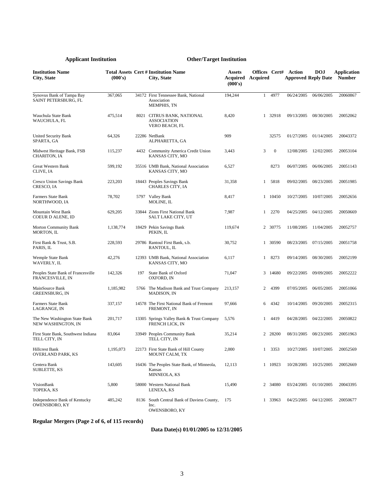| <b>Institution Name</b><br>City, State                 | (000's)   |     | <b>Total Assets Cert # Institution Name</b><br>City, State                  | <b>Assets</b><br>Acquired Acquired<br>(000's) |              |                  | <b>Offices Cert# Action</b> | <b>DOJ</b><br><b>Approved Reply Date</b> | Application<br><b>Number</b> |
|--------------------------------------------------------|-----------|-----|-----------------------------------------------------------------------------|-----------------------------------------------|--------------|------------------|-----------------------------|------------------------------------------|------------------------------|
| Synovus Bank of Tampa Bay<br>SAINT PETERSBURG, FL      | 367,065   |     | 34172 First Tennessee Bank, National<br>Association<br>MEMPHIS, TN          | 194,244                                       | $\mathbf{1}$ | 4977             | 06/24/2005                  | 06/06/2005                               | 20060867                     |
| Wauchula State Bank<br>WAUCHULA, FL                    | 475,514   |     | 8021 CITRUS BANK, NATIONAL<br><b>ASSOCIATION</b><br>VERO BEACH, FL          | 8,420                                         |              | 1 32918          | 09/13/2005                  | 08/30/2005                               | 20052062                     |
| United Security Bank<br>SPARTA, GA                     | 64,326    |     | 22286 NetBank<br>ALPHARETTA, GA                                             | 909                                           |              | 32575            | 01/27/2005                  | 01/14/2005                               | 20043372                     |
| Midwest Heritage Bank, FSB<br>CHARITON, IA             | 115,237   |     | 4432 Community America Credit Union<br>KANSAS CITY, MO                      | 3,443                                         | 3            | $\boldsymbol{0}$ | 12/08/2005                  | 12/02/2005                               | 20053104                     |
| Great Western Bank<br>CLIVE, IA                        | 599,192   |     | 35516 UMB Bank, National Association<br>KANSAS CITY, MO                     | 6,527                                         |              | 8273             | 06/07/2005                  | 06/06/2005                               | 20051143                     |
| Cresco Union Savings Bank<br>CRESCO, IA                | 223,203   |     | 18443 Peoples Savings Bank<br>CHARLES CITY, IA                              | 31,358                                        | 1            | 5818             | 09/02/2005                  | 08/23/2005                               | 20051985                     |
| Farmers State Bank<br>NORTHWOOD, IA                    | 78,702    |     | 5797 Valley Bank<br>MOLINE, IL                                              | 8,417                                         |              | 1 10450          | 10/27/2005                  | 10/07/2005                               | 20052656                     |
| Mountain West Bank<br>COEUR D ALENE, ID                | 629,205   |     | 33844 Zions First National Bank<br>SALT LAKE CITY, UT                       | 7,987                                         | $\mathbf{1}$ | 2270             | 04/25/2005                  | 04/12/2005                               | 20050669                     |
| Morton Community Bank<br>MORTON, IL                    | 1,138,774 |     | 18429 Pekin Savings Bank<br>PEKIN, IL                                       | 119,674                                       |              | 2 30775          | 11/08/2005                  | 11/04/2005                               | 20052757                     |
| First Bank & Trust, S.B.<br>PARIS, IL                  | 228,593   |     | 29786 Rantoul First Bank, s.b.<br>RANTOUL, IL                               | 30,752                                        |              | 1 30590          | 08/23/2005                  | 07/15/2005                               | 20051758                     |
| Wemple State Bank<br>WAVERLY, IL                       | 42,276    |     | 12393 UMB Bank, National Association<br>KANSAS CITY, MO                     | 6,117                                         | $\mathbf{1}$ | 8273             | 09/14/2005                  | 08/30/2005                               | 20052199                     |
| Peoples State Bank of Francesville<br>FRANCESVILLE, IN | 142,326   | 197 | State Bank of Oxford<br>OXFORD, IN                                          | 71,047                                        |              | 3 14680          | 09/22/2005                  | 09/09/2005                               | 20052222                     |
| MainSource Bank<br>GREENSBURG, IN                      | 1,185,982 |     | 5766 The Madison Bank and Trust Company<br>MADISON, IN                      | 213,157                                       | 2            | 4399             | 07/05/2005                  | 06/05/2005                               | 20051066                     |
| Farmers State Bank<br>LAGRANGE, IN                     | 337,157   |     | 14578 The First National Bank of Fremont<br>FREMONT, IN                     | 97,666                                        | 6            | 4342             | 10/14/2005                  | 09/20/2005                               | 20052315                     |
| The New Washington State Bank<br>NEW WASHINGTON, IN    | 201,717   |     | 13305 Springs Valley Bank & Trust Company<br>FRENCH LICK, IN                | 5,576                                         | 1            | 4419             | 04/28/2005                  | 04/22/2005                               | 20050822                     |
| First State Bank, Southwest Indiana<br>TELL CITY, IN   | 83,064    |     | 33949 Peoples Community Bank<br>TELL CITY, IN                               | 35,214                                        |              | 2 28200          | 08/31/2005                  | 08/23/2005                               | 20051963                     |
| <b>Hillcrest Bank</b><br>OVERLAND PARK, KS             | 1,195,073 |     | 22173 First State Bank of Hill County<br>MOUNT CALM, TX                     | 2,000                                         | $\mathbf{1}$ | 3353             | 10/27/2005                  | 10/07/2005                               | 20052569                     |
| Centera Bank<br>SUBLETTE, KS                           | 143,605   |     | 16436 The Peoples State Bank, of Minneola,<br>Kansas<br><b>MINNEOLA, KS</b> | 12,113                                        |              | 1 10923          | 10/28/2005                  | 10/25/2005                               | 20052669                     |
| VisionBank<br>TOPEKA, KS                               | 5,800     |     | 58000 Western National Bank<br>LENEXA, KS                                   | 15,490                                        |              | 2 34080          | 03/24/2005                  | 01/10/2005                               | 20043395                     |
| Independence Bank of Kentucky<br>OWENSBORO, KY         | 485,242   |     | 8136 South Central Bank of Daviess County,<br>Inc.<br>OWENSBORO, KY         | 175                                           |              | 1 33963          | 04/25/2005                  | 04/12/2005                               | 20050677                     |

**Regular Mergers (Page 2 of 6, of 115 records)**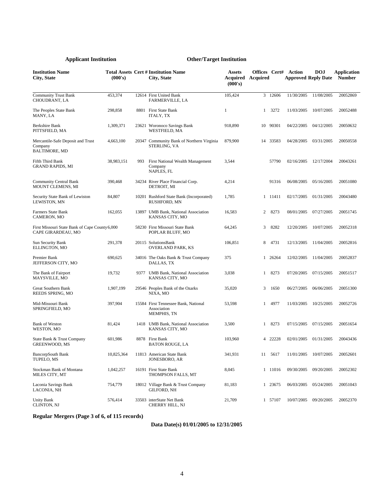| <b>Institution Name</b><br>City, State                               | (000's)    |      | <b>Total Assets Cert # Institution Name</b><br>City, State                | <b>Assets</b><br>Acquired<br>(000's) | <b>Acquired</b> |          | <b>Offices Cert# Action</b><br><b>Approved Reply Date</b> | <b>DOJ</b> | Application<br><b>Number</b> |
|----------------------------------------------------------------------|------------|------|---------------------------------------------------------------------------|--------------------------------------|-----------------|----------|-----------------------------------------------------------|------------|------------------------------|
| <b>Community Trust Bank</b><br><b>CHOUDRANT, LA</b>                  | 453,374    |      | 12614 First United Bank<br><b>FARMERVILLE, LA</b>                         | 105,424                              |                 | 3 12606  | 11/30/2005                                                | 11/08/2005 | 20052869                     |
| The Peoples State Bank<br>MANY, LA                                   | 298,858    |      | 8801 First State Bank<br><b>ITALY, TX</b>                                 | 1                                    | $\mathbf{1}$    | 3272     | 11/03/2005                                                | 10/07/2005 | 20052488                     |
| Berkshire Bank<br>PITTSFIELD, MA                                     | 1,309,371  |      | 23621 Woronoco Savings Bank<br><b>WESTFIELD, MA</b>                       | 918,890                              |                 | 10 90301 | 04/22/2005                                                | 04/12/2005 | 20050632                     |
| Mercantile-Safe Deposit and Trust<br>Company<br><b>BALTIMORE, MD</b> | 4,663,100  |      | 20347 Community Bank of Northern Virginia<br>STERLING, VA                 | 879,900                              |                 | 14 33583 | 04/28/2005                                                | 03/31/2005 | 20050558                     |
| Fifth Third Bank<br><b>GRAND RAPIDS, MI</b>                          | 38,983,151 | 993  | First National Wealth Management<br>Company<br>NAPLES, FL                 | 3,544                                |                 | 57790    | 02/16/2005                                                | 12/17/2004 | 20043261                     |
| <b>Community Central Bank</b><br>MOUNT CLEMENS, MI                   | 390,468    |      | 34234 River Place Financial Corp.<br>DETROIT, MI                          | 4,214                                |                 | 91316    | 06/08/2005                                                | 05/16/2005 | 20051080                     |
| Security State Bank of Lewiston<br>LEWISTON, MN                      | 84,807     |      | 10201 Rushford State Bank (Incorporated)<br>RUSHFORD, MN                  | 1,785                                |                 | 1 11411  | 02/17/2005                                                | 01/31/2005 | 20043480                     |
| <b>Farmers State Bank</b><br>CAMERON, MO                             | 162,055    |      | 13897 UMB Bank, National Association<br>KANSAS CITY, MO                   | 16,583                               | $\overline{2}$  | 8273     | 08/01/2005                                                | 07/27/2005 | 20051745                     |
| First Missouri State Bank of Cape County 6,000<br>CAPE GIRARDEAU, MO |            |      | 58230 First Missouri State Bank<br>POPLAR BLUFF, MO                       | 64,245                               | 3               | 8282     | 12/20/2005                                                | 10/07/2005 | 20052318                     |
| Sun Security Bank<br>ELLINGTON, MO                                   | 291,378    |      | 20115 SolutionsBank<br>OVERLAND PARK, KS                                  | 106,851                              | 8               | 4731     | 12/13/2005                                                | 11/04/2005 | 20052816                     |
| Premier Bank<br>JEFFERSON CITY, MO                                   | 690,625    |      | 34016 The Oaks Bank & Trust Company<br>DALLAS, TX                         | 375                                  |                 | 1 26264  | 12/02/2005                                                | 11/04/2005 | 20052837                     |
| The Bank of Fairport<br>MAYSVILLE, MO                                | 19,732     | 9377 | <b>UMB Bank, National Association</b><br>KANSAS CITY, MO                  | 3,038                                | $\mathbf{1}$    | 8273     | 07/20/2005                                                | 07/15/2005 | 20051517                     |
| Great Southern Bank<br>REEDS SPRING, MO                              | 1,907,199  |      | 29546 Peoples Bank of the Ozarks<br>NIXA, MO                              | 35,020                               | 3               | 1650     | 06/27/2005                                                | 06/06/2005 | 20051300                     |
| Mid-Missouri Bank<br>SPRINGFIELD, MO                                 | 397,904    |      | 15584 First Tennessee Bank, National<br>Association<br><b>MEMPHIS, TN</b> | 53,598                               | $\mathbf{1}$    | 4977     | 11/03/2005                                                | 10/25/2005 | 20052726                     |
| <b>Bank of Weston</b><br>WESTON, MO                                  | 81,424     |      | 1418 UMB Bank, National Association<br>KANSAS CITY, MO                    | 3,500                                | $\mathbf{1}$    | 8273     | 07/15/2005                                                | 07/15/2005 | 20051654                     |
| State Bank & Trust Company<br><b>GREENWOOD, MS</b>                   | 601,986    |      | 8878 First Bank<br><b>BATON ROUGE, LA</b>                                 | 103,960                              |                 | 4 22228  | 02/01/2005                                                | 01/31/2005 | 20043436                     |
| <b>BancorpSouth Bank</b><br>TUPELO, MS                               | 10,825,364 |      | 11813 American State Bank<br>JONESBORO, AR                                | 341,931                              | 11              | 5617     | 11/01/2005                                                | 10/07/2005 | 20052601                     |
| Stockman Bank of Montana<br>MILES CITY, MT                           | 1,042,257  |      | 16191 First State Bank<br>THOMPSON FALLS, MT                              | 8,045                                |                 | 1 11016  | 09/30/2005                                                | 09/20/2005 | 20052302                     |
| Laconia Savings Bank<br>LACONIA, NH                                  | 754,779    |      | 18012 Village Bank & Trust Company<br><b>GILFORD, NH</b>                  | 81,183                               |                 | 1 23675  | 06/03/2005                                                | 05/24/2005 | 20051043                     |
| <b>Unity Bank</b><br>CLINTON, NJ                                     | 576,414    |      | 33503 interState Net Bank<br>CHERRY HILL, NJ                              | 21,709                               |                 | 1 57107  | 10/07/2005                                                | 09/20/2005 | 20052370                     |

**Regular Mergers (Page 3 of 6, of 115 records)**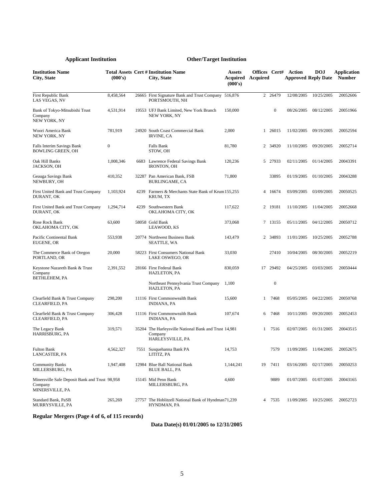| <b>Institution Name</b><br>City, State                                       | (000's)          |      | <b>Total Assets Cert # Institution Name</b><br>City, State                           | <b>Assets</b><br>Acquired<br>(000's) | Offices Cert#<br>Acquired |                  | Action<br><b>Approved Reply Date</b> | <b>DOJ</b> | <b>Application</b><br><b>Number</b> |
|------------------------------------------------------------------------------|------------------|------|--------------------------------------------------------------------------------------|--------------------------------------|---------------------------|------------------|--------------------------------------|------------|-------------------------------------|
| First Republic Bank<br>LAS VEGAS, NV                                         | 8,458,564        |      | 26665 First Signature Bank and Trust Company 516,876<br>PORTSMOUTH, NH               |                                      | $\overline{2}$            | 26479            | 12/08/2005                           | 10/25/2005 | 20052606                            |
| Bank of Tokyo-Mitsubishi Trust<br>Company<br>NEW YORK, NY                    | 4,531,914        |      | 19553 UFJ Bank Limited, New York Branch<br>NEW YORK, NY                              | 150,000                              |                           | $\boldsymbol{0}$ | 08/26/2005                           | 08/12/2005 | 20051966                            |
| Woori America Bank<br>NEW YORK, NY                                           | 781,919          |      | 24920 South Coast Commercial Bank<br><b>IRVINE, CA</b>                               | 2,000                                |                           | 1 26015          | 11/02/2005                           | 09/19/2005 | 20052594                            |
| Falls Interim Savings Bank<br><b>BOWLING GREEN, OH</b>                       | $\boldsymbol{0}$ |      | Falls Bank<br>STOW, OH                                                               | 81,780                               |                           | 2 34920          | 11/10/2005                           | 09/20/2005 | 20052714                            |
| Oak Hill Banks<br>JACKSON, OH                                                | 1,008,346        | 6683 | Lawrence Federal Savings Bank<br>IRONTON, OH                                         | 120,236                              |                           | 5 27933          | 02/11/2005                           | 01/14/2005 | 20043391                            |
| Geauga Savings Bank<br>NEWBURY, OH                                           | 410,352          |      | 32287 Pan American Bank, FSB<br>BURLINGAME, CA                                       | 71,800                               |                           | 33895            | 01/19/2005                           | 01/10/2005 | 20043288                            |
| First United Bank and Trust Company<br>DURANT, OK                            | 1,103,924        | 4239 | Farmers & Merchants State Bank of Krum 155,255<br>KRUM, TX                           |                                      |                           | 4 16674          | 03/09/2005                           | 03/09/2005 | 20050525                            |
| First United Bank and Trust Company<br>DURANT, OK                            | 1,294,714        | 4239 | Southwestern Bank<br>OKLAHOMA CITY, OK                                               | 117,622                              |                           | 2 19181          | 11/10/2005                           | 11/04/2005 | 20052668                            |
| Rose Rock Bank<br>OKLAHOMA CITY, OK                                          | 63,600           |      | 58058 Gold Bank<br>LEAWOOD, KS                                                       | 373,068                              |                           | 7 13155          | 05/11/2005                           | 04/12/2005 | 20050712                            |
| Pacific Continental Bank<br>EUGENE, OR                                       | 553,938          |      | 20774 Northwest Business Bank<br>SEATTLE, WA                                         | 143,479                              |                           | 2 34893          | 11/01/2005                           | 10/25/2005 | 20052788                            |
| The Commerce Bank of Oregon<br>PORTLAND, OR                                  | 20,000           |      | 58223 First Consumers National Bank<br>LAKE OSWEGO, OR                               | 33,030                               |                           | 27410            | 10/04/2005                           | 08/30/2005 | 20052219                            |
| Keystone Nazareth Bank & Trust<br>Company                                    | 2,391,552        |      | 28166 First Federal Bank<br>HAZLETON, PA                                             | 830,059                              | 17                        | 29492            | 04/25/2005                           | 03/03/2005 | 20050444                            |
| BETHLEHEM, PA                                                                |                  |      | Northeast Pennsylvania Trust Company<br><b>HAZLETON, PA</b>                          | 1,100                                |                           | $\boldsymbol{0}$ |                                      |            |                                     |
| Clearfield Bank & Trust Company<br>CLEARFIELD, PA                            | 298,200          |      | 11116 First Commonwealth Bank<br><b>INDIANA, PA</b>                                  | 15,600                               | 1                         | 7468             | 05/05/2005                           | 04/22/2005 | 20050768                            |
| Clearfield Bank & Trust Company<br>CLEARFIELD, PA                            | 306,428          |      | 11116 First Commonwealth Bank<br>INDIANA, PA                                         | 107,674                              | 6                         | 7468             | 10/11/2005                           | 09/20/2005 | 20052453                            |
| The Legacy Bank<br>HARRISBURG, PA                                            | 319,571          |      | 35204 The Harleysville National Bank and Trust 14,981<br>Company<br>HARLEYSVILLE, PA |                                      |                           | 7516             | 02/07/2005                           | 01/31/2005 | 20043515                            |
| Fulton Bank<br>LANCASTER, PA                                                 | 4,562,327        |      | 7551 Susquehanna Bank PA<br>LITITZ, PA                                               | 14,753                               |                           | 7579             | 11/09/2005                           | 11/04/2005 | 20052675                            |
| <b>Community Banks</b><br>MILLERSBURG, PA                                    | 1,947,408        |      | 12984 Blue Ball National Bank<br><b>BLUE BALL, PA</b>                                | 1,144,241                            | 19                        | 7411             | 03/16/2005                           | 02/17/2005 | 20050253                            |
| Minersville Safe Deposit Bank and Trust 98,958<br>Company<br>MINERSVILLE, PA |                  |      | 15145 Mid Penn Bank<br>MILLERSBURG, PA                                               | 4,600                                |                           | 9889             | 01/07/2005                           | 01/07/2005 | 20043165                            |
| <b>Standard Bank, PaSB</b><br>MURRYSVILLE, PA                                | 265,269          |      | 27757 The Hoblitzell National Bank of Hyndman71,239<br>HYNDMAN, PA                   |                                      | 4                         | 7535             | 11/09/2005                           | 10/25/2005 | 20052723                            |

**Regular Mergers (Page 4 of 6, of 115 records)**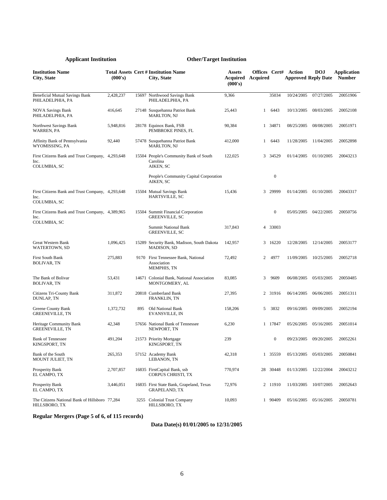| <b>Institution Name</b><br>City, State                                   | (000's)   |     | <b>Total Assets Cert # Institution Name</b><br>City, State               | <b>Assets</b><br>Acquired<br>(000's) | <b>Acquired</b> |                  | <b>Offices Cert# Action</b> | <b>DOJ</b><br><b>Approved Reply Date</b> | Application<br><b>Number</b> |
|--------------------------------------------------------------------------|-----------|-----|--------------------------------------------------------------------------|--------------------------------------|-----------------|------------------|-----------------------------|------------------------------------------|------------------------------|
| <b>Beneficial Mutual Savings Bank</b><br>PHILADELPHIA, PA                | 2,428,237 |     | 15697 Northwood Savings Bank<br>PHILADELPHIA, PA                         | 9,366                                |                 | 35034            | 10/24/2005                  | 07/27/2005                               | 20051906                     |
| <b>NOVA Savings Bank</b><br>PHILADELPHIA, PA                             | 416,645   |     | 27148 Susquehanna Patriot Bank<br><b>MARLTON, NJ</b>                     | 25,443                               | $\mathbf{1}$    | 6443             | 10/13/2005                  | 08/03/2005                               | 20052108                     |
| Northwest Savings Bank<br><b>WARREN, PA</b>                              | 5,948,816 |     | 28178 Equinox Bank, FSB<br>PEMBROKE PINES. FL                            | 90,384                               |                 | 1 34871          | 08/25/2005                  | 08/08/2005                               | 20051971                     |
| Affinity Bank of Pennsylvania<br>WYOMISSING, PA                          | 92,440    |     | 57478 Susquehanna Patriot Bank<br>MARLTON, NJ                            | 412,000                              | $\mathbf{1}$    | 6443             | 11/28/2005                  | 11/04/2005                               | 20052898                     |
| First Citizens Bank and Trust Company, 4,293,648<br>Inc.<br>COLUMBIA, SC |           |     | 15504 People's Community Bank of South<br>Carolina<br>AIKEN, SC          | 122,025                              |                 | 3 34529          | 01/14/2005                  | 01/10/2005                               | 20043213                     |
|                                                                          |           |     | People's Community Capital Corporation<br>AIKEN, SC                      |                                      |                 | $\boldsymbol{0}$ |                             |                                          |                              |
| First Citizens Bank and Trust Company, 4,293,648<br>Inc.<br>COLUMBIA, SC |           |     | 15504 Mutual Savings Bank<br>HARTSVILLE, SC                              | 15,436                               | 3               | 29999            | 01/14/2005                  | 01/10/2005                               | 20043317                     |
| First Citizens Bank and Trust Company, 4,389,965<br>Inc.                 |           |     | 15504 Summit Financial Corporation<br><b>GREENVILLE, SC</b>              |                                      |                 | 0                | 05/05/2005                  | 04/22/2005                               | 20050756                     |
| COLUMBIA, SC                                                             |           |     | <b>Summit National Bank</b><br><b>GREENVILLE, SC</b>                     | 317,843                              |                 | 4 33003          |                             |                                          |                              |
| Great Western Bank<br><b>WATERTOWN, SD</b>                               | 1,096,425 |     | 15289 Security Bank, Madison, South Dakota<br>MADISON, SD                | 142,957                              |                 | 3 16220          | 12/28/2005                  | 12/14/2005                               | 20053177                     |
| <b>First South Bank</b><br><b>BOLIVAR, TN</b>                            | 275,883   |     | 9170 First Tennessee Bank, National<br>Association<br><b>MEMPHIS, TN</b> | 72,492                               | $\overline{2}$  | 4977             | 11/09/2005                  | 10/25/2005                               | 20052718                     |
| The Bank of Bolivar<br><b>BOLIVAR, TN</b>                                | 53,431    |     | 14671 Colonial Bank, National Association<br>MONTGOMERY, AL              | 83,085                               | 3               | 9609             | 06/08/2005                  | 05/03/2005                               | 20050485                     |
| Citizens Tri-County Bank<br>DUNLAP, TN                                   | 311,872   |     | 20818 Cumberland Bank<br>FRANKLIN, TN                                    | 27,395                               |                 | 2 31916          | 06/14/2005                  | 06/06/2005                               | 20051311                     |
| Greene County Bank<br><b>GREENEVILLE, TN</b>                             | 1,372,732 | 895 | Old National Bank<br>EVANSVILLE, IN                                      | 158,206                              | 5               | 3832             | 09/16/2005                  | 09/09/2005                               | 20052194                     |
| Heritage Community Bank<br><b>GREENEVILLE, TN</b>                        | 42,348    |     | 57656 National Bank of Tennessee<br>NEWPORT, TN                          | 6,230                                |                 | 1 17847          | 05/26/2005                  | 05/16/2005                               | 20051014                     |
| <b>Bank of Tennessee</b><br>KINGSPORT, TN                                | 491,204   |     | 21573 Priority Mortgage<br>KINGSPORT, TN                                 | 239                                  |                 | 0                | 09/23/2005                  | 09/20/2005                               | 20052261                     |
| Bank of the South<br>MOUNT JULIET, TN                                    | 265,353   |     | 57152 Academy Bank<br>LEBANON, TN                                        | 42,318                               |                 | 1 35559          | 05/13/2005                  | 05/03/2005                               | 20050841                     |
| Prosperity Bank<br>EL CAMPO, TX                                          | 2,707,857 |     | 16835 FirstCapital Bank, ssb<br>CORPUS CHRISTI, TX                       | 770,974                              |                 | 28 30448         | 01/13/2005                  | 12/22/2004                               | 20043212                     |
| Prosperity Bank<br>EL CAMPO, TX                                          | 3,446,051 |     | 16835 First State Bank, Grapeland, Texas<br><b>GRAPELAND, TX</b>         | 72,976                               |                 | 2 11910          | 11/03/2005                  | 10/07/2005                               | 20052643                     |
| The Citizens National Bank of Hillsboro 77,284<br>HILLSBORO, TX          |           |     | 3255 Colonial Trust Company<br>HILLSBORO, TX                             | 10,093                               |                 | 1 90409          | 05/16/2005                  | 05/16/2005                               | 20050781                     |

**Regular Mergers (Page 5 of 6, of 115 records)**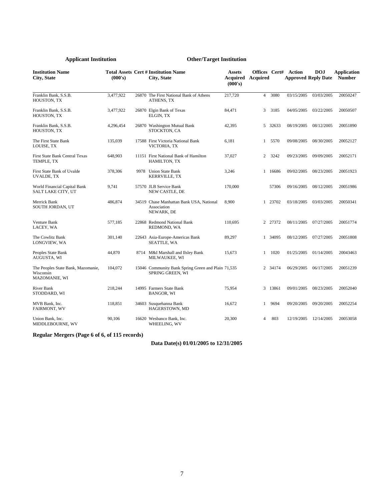| <b>Institution Name</b><br><b>City, State</b>                           | (000's)   |      | <b>Total Assets Cert # Institution Name</b><br>City, State             | Assets<br>Acquired<br>(000's) | Offices Cert#<br><b>Acquired</b> |         | Action     | <b>DOJ</b><br><b>Approved Reply Date</b> | <b>Application</b><br><b>Number</b> |
|-------------------------------------------------------------------------|-----------|------|------------------------------------------------------------------------|-------------------------------|----------------------------------|---------|------------|------------------------------------------|-------------------------------------|
| Franklin Bank, S.S.B.<br>HOUSTON, TX                                    | 3,477,922 |      | 26870 The First National Bank of Athens<br>ATHENS, TX                  | 217,720                       | $\overline{4}$                   | 3080    | 03/15/2005 | 03/03/2005                               | 20050247                            |
| Franklin Bank, S.S.B.<br>HOUSTON, TX                                    | 3,477,922 |      | 26870 Elgin Bank of Texas<br>ELGIN, TX                                 | 84,471                        | 3                                | 3185    | 04/05/2005 | 03/22/2005                               | 20050507                            |
| Franklin Bank, S.S.B.<br>HOUSTON, TX                                    | 4,296,454 |      | 26870 Washington Mutual Bank<br>STOCKTON, CA                           | 42,395                        |                                  | 5 32633 | 08/19/2005 | 08/12/2005                               | 20051890                            |
| The First State Bank<br>LOUISE, TX                                      | 135,039   |      | 17588 First Victoria National Bank<br>VICTORIA, TX                     | 6,181                         | $\mathbf{1}$                     | 5570    | 09/08/2005 | 08/30/2005                               | 20052127                            |
| <b>First State Bank Central Texas</b><br>TEMPLE, TX                     | 648,903   |      | 11151 First National Bank of Hamilton<br>HAMILTON, TX                  | 37,027                        | $\overline{2}$                   | 3242    | 09/23/2005 | 09/09/2005                               | 20052171                            |
| First State Bank of Uvalde<br><b>UVALDE, TX</b>                         | 378,306   | 9978 | <b>Union State Bank</b><br>KERRVILLE, TX                               | 3,246                         |                                  | 1 16686 | 09/02/2005 | 08/23/2005                               | 20051923                            |
| World Financial Capital Bank<br>SALT LAKE CITY, UT                      | 9,741     |      | 57570 JLB Service Bank<br>NEW CASTLE, DE                               | 170,000                       |                                  | 57306   | 09/16/2005 | 08/12/2005                               | 20051986                            |
| Merrick Bank<br><b>SOUTH JORDAN, UT</b>                                 | 486,874   |      | 34519 Chase Manhattan Bank USA, National<br>Association<br>NEWARK, DE  | 8,900                         |                                  | 1 23702 | 03/18/2005 | 03/03/2005                               | 20050341                            |
| <b>Venture Bank</b><br>LACEY, WA                                        | 577,185   |      | 22868 Redmond National Bank<br>REDMOND, WA                             | 110.695                       |                                  | 2 27372 | 08/11/2005 | 07/27/2005                               | 20051774                            |
| The Cowlitz Bank<br>LONGVIEW, WA                                        | 301,140   |      | 22643 Asia-Europe-Americas Bank<br>SEATTLE, WA                         | 89,297                        |                                  | 1 34095 | 08/12/2005 | 07/27/2005                               | 20051808                            |
| Peoples State Bank<br>AUGUSTA, WI                                       | 44,870    |      | 8714 M&I Marshall and Ilsley Bank<br>MILWAUKEE, WI                     | 15,673                        | $\mathbf{1}$                     | 1020    | 01/25/2005 | 01/14/2005                               | 20043463                            |
| The Peoples State Bank, Mazomanie,<br>Wisconsin<br><b>MAZOMANIE, WI</b> | 104,072   |      | 15046 Community Bank Spring Green and Plain 71,535<br>SPRING GREEN, WI |                               |                                  | 2 34174 | 06/29/2005 | 06/17/2005                               | 20051239                            |
| <b>River Bank</b><br>STODDARD, WI                                       | 218,244   |      | 14995 Farmers State Bank<br><b>BANGOR, WI</b>                          | 75,954                        |                                  | 3 13861 | 09/01/2005 | 08/23/2005                               | 20052040                            |
| MVB Bank, Inc.<br><b>FAIRMONT, WV</b>                                   | 118,851   |      | 34603 Susquehanna Bank<br>HAGERSTOWN, MD                               | 16,672                        | $\mathbf{1}$                     | 9694    | 09/20/2005 | 09/20/2005                               | 20052254                            |
| Union Bank, Inc.<br>MIDDLEBOURNE, WV                                    | 90,106    |      | 16620 Wesbanco Bank, Inc.<br>WHEELING, WV                              | 20,300                        | $\overline{4}$                   | 803     | 12/19/2005 | 12/14/2005                               | 20053058                            |

**Regular Mergers (Page 6 of 6, of 115 records)**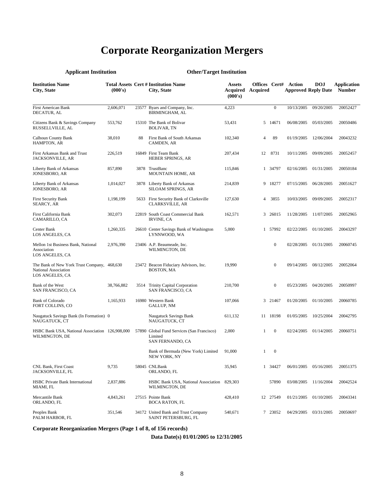## **Corporate Reorganization Mergers**

| <b>Applicant Institution</b>                                                           |            |       | <b>Other/Target Institution</b>                                           |                                               |                |                  |                                                           |            |                              |
|----------------------------------------------------------------------------------------|------------|-------|---------------------------------------------------------------------------|-----------------------------------------------|----------------|------------------|-----------------------------------------------------------|------------|------------------------------|
| <b>Institution Name</b><br>City, State                                                 | (000's)    |       | <b>Total Assets Cert # Institution Name</b><br>City, State                | <b>Assets</b><br>Acquired Acquired<br>(000's) |                |                  | <b>Offices Cert# Action</b><br><b>Approved Reply Date</b> | <b>DOJ</b> | Application<br><b>Number</b> |
| <b>First American Bank</b><br>DECATUR, AL                                              | 2,606,071  | 23577 | Byars and Company, Inc.<br><b>BIRMINGHAM, AL</b>                          | 4,223                                         |                | $\boldsymbol{0}$ | 10/13/2005                                                | 09/20/2005 | 20052427                     |
| Citizens Bank & Savings Company<br>RUSSELLVILLE, AL                                    | 553,762    |       | 15310 The Bank of Bolivar<br>BOLIVAR, TN                                  | 53,431                                        |                | 5 14671          | 06/08/2005                                                | 05/03/2005 | 20050486                     |
| <b>Calhoun County Bank</b><br><b>HAMPTON, AR</b>                                       | 38,010     | 88    | First Bank of South Arkansas<br>CAMDEN, AR                                | 102,340                                       | 4              | 89               | 01/19/2005                                                | 12/06/2004 | 20043232                     |
| First Arkansas Bank and Trust<br>JACKSONVILLE, AR                                      | 226,519    |       | 16849 First Team Bank<br>HEBER SPRINGS, AR                                | 207,434                                       | 12             | 8731             | 10/11/2005                                                | 09/09/2005 | 20052457                     |
| Liberty Bank of Arkansas<br>JONESBORO, AR                                              | 857,890    |       | 3878 TrustBanc<br><b>MOUNTAIN HOME, AR</b>                                | 115,846                                       |                | 1 34797          | 02/16/2005                                                | 01/31/2005 | 20050184                     |
| Liberty Bank of Arkansas<br>JONESBORO, AR                                              | 1,014,027  |       | 3878 Liberty Bank of Arkansas<br>SILOAM SPRINGS, AR                       | 214,839                                       |                | 9 18277          | 07/15/2005                                                | 06/28/2005 | 20051627                     |
| <b>First Security Bank</b><br>SEARCY, AR                                               | 1,198,199  |       | 5633 First Security Bank of Clarksville<br>CLARKSVILLE, AR                | 127,630                                       | $\overline{4}$ | 3855             | 10/03/2005                                                | 09/09/2005 | 20052317                     |
| First California Bank<br>CAMARILLO, CA                                                 | 302,073    |       | 22819 South Coast Commercial Bank<br><b>IRVINE, CA</b>                    | 162,571                                       |                | 3 26015          | 11/28/2005                                                | 11/07/2005 | 20052965                     |
| Center Bank<br>LOS ANGELES, CA                                                         | 1,260,335  |       | 26610 Center Savings Bank of Washington<br>LYNNWOOD, WA                   | 5,000                                         |                | 1 57992          | 02/22/2005                                                | 01/10/2005 | 20043297                     |
| Mellon 1st Business Bank, National<br>Association<br>LOS ANGELES, CA                   | 2,976,390  |       | 23406 A.P. Beaumeade, Inc.<br>WILMINGTON, DE                              |                                               |                | $\boldsymbol{0}$ | 02/28/2005                                                | 01/31/2005 | 20060745                     |
| The Bank of New York Trust Company, 468,630<br>National Association<br>LOS ANGELES, CA |            |       | 23472 Beacon Fiduciary Advisors, Inc.<br><b>BOSTON, MA</b>                | 19,990                                        |                | $\mathbf{0}$     | 09/14/2005                                                | 08/12/2005 | 20052064                     |
| Bank of the West<br><b>SAN FRANCISCO, CA</b>                                           | 38,766,882 |       | 3514 Trinity Capital Corporation<br>SAN FRANCISCO, CA                     | 210,700                                       |                | $\boldsymbol{0}$ | 05/23/2005                                                | 04/20/2005 | 20050997                     |
| <b>Bank of Colorado</b><br><b>FORT COLLINS, CO</b>                                     | 1,165,933  |       | 16980 Western Bank<br><b>GALLUP, NM</b>                                   | 107,066                                       |                | 3 21467          | 01/20/2005                                                | 01/10/2005 | 20060785                     |
| Naugatuck Savings Bank (In Formation) 0<br>NAUGATUCK, CT                               |            |       | <b>Naugatuck Savings Bank</b><br>NAUGATUCK, CT                            | 611,132                                       |                | 11 18198         | 01/05/2005                                                | 10/25/2004 | 20042795                     |
| HSBC Bank USA, National Association 126,908,000<br>WILMINGTON, DE                      |            |       | 57890 Global Fund Services (San Francisco)<br>Limited<br>SAN FERNANDO, CA | 2,000                                         | 1              | $\boldsymbol{0}$ | 02/24/2005                                                | 01/14/2005 | 20060751                     |
|                                                                                        |            |       | Bank of Bermuda (New York) Limited<br>NEW YORK, NY                        | 91,000                                        |                | $1 \quad 0$      |                                                           |            |                              |
| <b>CNL Bank, First Coast</b><br>JACKSONVILLE, FL                                       | 9,735      |       | 58045 CNLBank<br>ORLANDO, FL                                              | 35,945                                        |                | 1 34427          | 06/01/2005                                                | 05/16/2005 | 20051375                     |
| <b>HSBC Private Bank International</b><br>MIAMI, FL                                    | 2,837,886  |       | HSBC Bank USA, National Association<br>WILMINGTON, DE                     | 829,303                                       |                | 57890            | 03/08/2005                                                | 11/16/2004 | 20042524                     |
| Mercantile Bank<br>ORLANDO, FL                                                         | 4,843,261  |       | 27515 Pointe Bank<br><b>BOCA RATON, FL</b>                                | 428,410                                       |                | 12 27549         | 01/21/2005                                                | 01/10/2005 | 20043341                     |
| Peoples Bank<br>PALM HARBOR, FL                                                        | 351,546    |       | 34172 United Bank and Trust Company<br>SAINT PETERSBURG, FL               | 540,671                                       |                | 7 23052          | 04/29/2005                                                | 03/31/2005 | 20050697                     |

**Corporate Reorganization Mergers (Page 1 of 8, of 156 records)**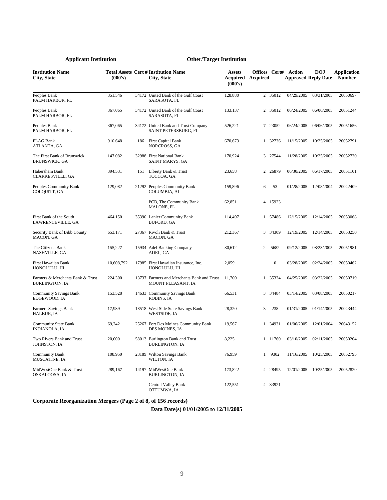| <b>Institution Name</b><br>City, State                    | (000's)    |     | <b>Total Assets Cert # Institution Name</b><br>City, State       | <b>Assets</b><br><b>Acquired</b> Acquired<br>(000's) | Offices Cert#  |                  | Action     | <b>DOJ</b><br><b>Approved Reply Date</b> | <b>Application</b><br><b>Number</b> |
|-----------------------------------------------------------|------------|-----|------------------------------------------------------------------|------------------------------------------------------|----------------|------------------|------------|------------------------------------------|-------------------------------------|
| Peoples Bank<br>PALM HARBOR, FL                           | 351,546    |     | 34172 United Bank of the Gulf Coast<br>SARASOTA, FL              | 128,880                                              |                | 2 35012          | 04/29/2005 | 03/31/2005                               | 20050697                            |
| Peoples Bank<br>PALM HARBOR, FL                           | 367,065    |     | 34172 United Bank of the Gulf Coast<br>SARASOTA, FL              | 133,137                                              |                | 2 35012          | 06/24/2005 | 06/06/2005                               | 20051244                            |
| Peoples Bank<br>PALM HARBOR, FL                           | 367,065    |     | 34172 United Bank and Trust Company<br>SAINT PETERSBURG, FL      | 526,221                                              |                | 7 23052          | 06/24/2005 | 06/06/2005                               | 20051656                            |
| <b>FLAG Bank</b><br>ATLANTA, GA                           | 910,648    | 186 | First Capital Bank<br>NORCROSS, GA                               | 670,673                                              |                | 1 32736          | 11/15/2005 | 10/25/2005                               | 20052791                            |
| The First Bank of Brunswick<br><b>BRUNSWICK, GA</b>       | 147,082    |     | 32988 First National Bank<br>SAINT MARYS, GA                     | 170,924                                              |                | 3 27544          | 11/28/2005 | 10/25/2005                               | 20052730                            |
| Habersham Bank<br>CLARKESVILLE, GA                        | 394,531    | 151 | Liberty Bank & Trust<br>TOCCOA, GA                               | 23,658                                               | 2              | 26879            | 06/30/2005 | 06/17/2005                               | 20051101                            |
| Peoples Community Bank<br>COLQUITT, GA                    | 129,082    |     | 21292 Peoples Community Bank<br>COLUMBIA, AL                     | 159,896                                              | 6              | 53               | 01/28/2005 | 12/08/2004                               | 20042409                            |
|                                                           |            |     | PCB, The Community Bank<br>MALONE, FL                            | 62,851                                               |                | 4 15923          |            |                                          |                                     |
| First Bank of the South<br>LAWRENCEVILLE, GA              | 464,150    |     | 35390 Lanier Community Bank<br><b>BUFORD, GA</b>                 | 114,497                                              |                | 1 57486          | 12/15/2005 | 12/14/2005                               | 20053068                            |
| Security Bank of Bibb County<br>MACON, GA                 | 653,171    |     | 27367 Rivoli Bank & Trust<br>MACON, GA                           | 212,367                                              |                | 3 34309          | 12/19/2005 | 12/14/2005                               | 20053250                            |
| The Citizens Bank<br>NASHVILLE, GA                        | 155,227    |     | 15934 Adel Banking Company<br>ADEL, GA                           | 80,612                                               | $\overline{2}$ | 5682             | 09/12/2005 | 08/23/2005                               | 20051981                            |
| First Hawaiian Bank<br>HONOLULU. HI                       | 10,608,792 |     | 17985 First Hawaiian Insurance, Inc.<br>HONOLULU. HI             | 2,059                                                |                | $\boldsymbol{0}$ | 03/28/2005 | 02/24/2005                               | 20050462                            |
| Farmers & Merchants Bank & Trust<br><b>BURLINGTON, IA</b> | 224,300    |     | 13737 Farmers and Merchants Bank and Trust<br>MOUNT PLEASANT, IA | 11,700                                               |                | 1 35334          | 04/25/2005 | 03/22/2005                               | 20050719                            |
| <b>Community Savings Bank</b><br>EDGEWOOD, IA             | 153,528    |     | 14633 Community Savings Bank<br>ROBINS, IA                       | 66,531                                               |                | 3 34484          | 03/14/2005 | 03/08/2005                               | 20050217                            |
| Farmers Savings Bank<br>HALBUR, IA                        | 17,939     |     | 18518 West Side State Savings Bank<br><b>WESTSIDE, IA</b>        | 28,320                                               | 3              | 238              | 01/31/2005 | 01/14/2005                               | 20043444                            |
| <b>Community State Bank</b><br><b>INDIANOLA, IA</b>       | 69,242     |     | 25267 Fort Des Moines Community Bank<br>DES MOINES, IA           | 19,567                                               |                | 1 34931          | 01/06/2005 | 12/01/2004                               | 20043152                            |
| Two Rivers Bank and Trust<br>JOHNSTON, IA                 | 20,000     |     | 58013 Burlington Bank and Trust<br><b>BURLINGTON, IA</b>         | 8,225                                                |                | 1 11760          | 03/10/2005 | 02/11/2005                               | 20050204                            |
| <b>Community Bank</b><br>MUSCATINE, IA                    | 108,950    |     | 23189 Wilton Savings Bank<br>WILTON, IA                          | 76,959                                               | 1              | 9302             | 11/16/2005 | 10/25/2005                               | 20052795                            |
| MidWestOne Bank & Trust<br>OSKALOOSA, IA                  | 289,167    |     | 14197 MidWestOne Bank<br><b>BURLINGTON, IA</b>                   | 173,822                                              | 4              | 28495            | 12/01/2005 | 10/25/2005                               | 20052820                            |
|                                                           |            |     | Central Valley Bank<br>OTTUMWA, IA                               | 122.551                                              |                | 4 33921          |            |                                          |                                     |

**Corporate Reorganization Mergers (Page 2 of 8, of 156 records)**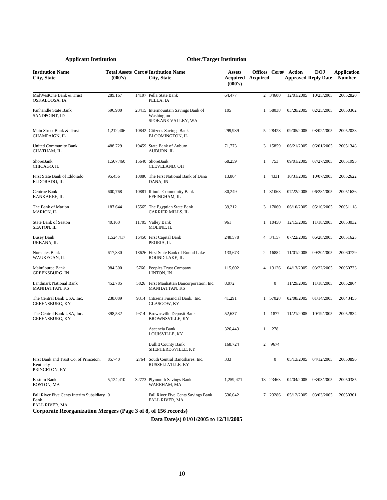| <b>Institution Name</b><br>City, State                              | (000's)   | <b>Total Assets Cert # Institution Name</b><br>City, State              | <b>Assets</b><br>Acquired<br>(000's) | Offices Cert#<br>Acquired |                  | Action<br><b>Approved Reply Date</b> | <b>DOJ</b> | <b>Application</b><br><b>Number</b> |
|---------------------------------------------------------------------|-----------|-------------------------------------------------------------------------|--------------------------------------|---------------------------|------------------|--------------------------------------|------------|-------------------------------------|
| MidWestOne Bank & Trust<br>OSKALOOSA, IA                            | 289,167   | 14197 Pella State Bank<br>PELLA, IA                                     | 64,477                               |                           | 2 34600          | 12/01/2005                           | 10/25/2005 | 20052820                            |
| Panhandle State Bank<br>SANDPOINT, ID                               | 596,900   | 23415 Intermountain Savings Bank of<br>Washington<br>SPOKANE VALLEY, WA | 105                                  |                           | 1 58038          | 03/28/2005                           | 02/25/2005 | 20050302                            |
| Main Street Bank & Trust<br>CHAMPAIGN, IL                           | 1,212,406 | 10842 Citizens Savings Bank<br><b>BLOOMINGTON, IL</b>                   | 299,939                              |                           | 5 28428          | 09/05/2005                           | 08/02/2005 | 20052038                            |
| <b>United Community Bank</b><br>CHATHAM, IL                         | 488,729   | 19459 State Bank of Auburn<br>AUBURN, IL                                | 71,773                               |                           | 3 15859          | 06/21/2005                           | 06/01/2005 | 20051348                            |
| ShoreBank<br>CHICAGO, IL                                            | 1,507,460 | 15640 ShoreBank<br>CLEVELAND, OH                                        | 68,259                               | 1                         | 753              | 09/01/2005                           | 07/27/2005 | 20051995                            |
| First State Bank of Eldorado<br>ELDORADO, IL                        | 95,456    | 10886 The First National Bank of Dana<br>DANA, IN                       | 13,864                               | $\mathbf{1}$              | 4331             | 10/31/2005                           | 10/07/2005 | 20052622                            |
| Centrue Bank<br>KANKAKEE, IL                                        | 600,768   | 10881 Illinois Community Bank<br>EFFINGHAM, IL                          | 30,249                               |                           | 1 31068          | 07/22/2005                           | 06/28/2005 | 20051636                            |
| The Bank of Marion<br><b>MARION, IL</b>                             | 187,644   | 15565 The Egyptian State Bank<br>CARRIER MILLS, IL                      | 39,212                               |                           | 3 17060          | 06/10/2005                           | 05/10/2005 | 20051118                            |
| <b>State Bank of Seaton</b><br>SEATON, IL                           | 40,160    | 11705 Valley Bank<br>MOLINE, IL                                         | 961                                  |                           | 1 10450          | 12/15/2005                           | 11/18/2005 | 20053032                            |
| <b>Busey Bank</b><br>URBANA, IL                                     | 1,524,417 | 16450 First Capital Bank<br>PEORIA, IL                                  | 248.578                              |                           | 4 34157          | 07/22/2005                           | 06/28/2005 | 20051623                            |
| Norstates Bank<br>WAUKEGAN, IL                                      | 617,330   | 18626 First State Bank of Round Lake<br>ROUND LAKE, IL                  | 133,673                              |                           | 2 16884          | 11/01/2005                           | 09/20/2005 | 20060729                            |
| MainSource Bank<br>GREENSBURG, IN                                   | 984,300   | 5766 Peoples Trust Company<br>LINTON, IN                                | 115,602                              |                           | 4 13126          | 04/13/2005                           | 03/22/2005 | 20060733                            |
| Landmark National Bank<br><b>MANHATTAN, KS</b>                      | 452,785   | 5826 First Manhattan Bancorporation, Inc.<br>MANHATTAN, KS              | 8,972                                |                           | $\boldsymbol{0}$ | 11/29/2005                           | 11/18/2005 | 20052864                            |
| The Central Bank USA, Inc.<br>GREENSBURG, KY                        | 238,089   | 9314 Citizens Financial Bank, Inc.<br>GLASGOW, KY                       | 41,291                               |                           | 1 57028          | 02/08/2005                           | 01/14/2005 | 20043455                            |
| The Central Bank USA, Inc.<br>GREENSBURG, KY                        | 398,532   | 9314 Brownsville Deposit Bank<br><b>BROWNSVILLE, KY</b>                 | 52,637                               | 1                         | 1877             | 11/21/2005                           | 10/19/2005 | 20052834                            |
|                                                                     |           | Ascencia Bank<br>LOUISVILLE, KY                                         | 326,443                              | 1                         | 278              |                                      |            |                                     |
|                                                                     |           | <b>Bullitt County Bank</b><br>SHEPHERDSVILLE, KY                        | 168,724                              | 2                         | 9674             |                                      |            |                                     |
| First Bank and Trust Co. of Princeton,<br>Kentucky<br>PRINCETON, KY | 85,740    | 2764 South Central Bancshares, Inc.<br>RUSSELLVILLE, KY                 | 333                                  |                           | $\boldsymbol{0}$ | 05/13/2005                           | 04/12/2005 | 20050896                            |
| Eastern Bank<br>BOSTON, MA                                          | 5,124,410 | 32773 Plymouth Savings Bank<br>WAREHAM, MA                              | 1,259,471                            |                           | 18 23463         | 04/04/2005                           | 03/03/2005 | 20050385                            |
| Fall River Five Cents Interim Subsidiary 0<br>Bank                  |           | Fall River Five Cents Savings Bank<br><b>FALL RIVER, MA</b>             | 536,042                              |                           | 7 23286          | 05/12/2005                           | 03/03/2005 | 20050301                            |

FALL RIVER, MA

**Corporate Reorganization Mergers (Page 3 of 8, of 156 records)**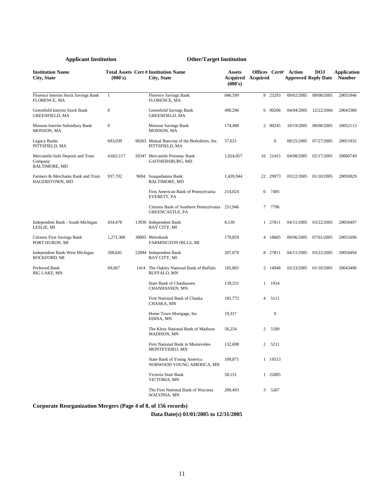| <b>Institution Name</b><br>City, State                               | (000's)          |      | <b>Total Assets Cert # Institution Name</b><br>City, State               | <b>Assets</b><br><b>Acquired Acquired</b><br>(000's) |                |                  | <b>Offices Cert# Action</b><br><b>Approved Reply Date</b> | <b>DOJ</b> | <b>Application</b><br><b>Number</b> |
|----------------------------------------------------------------------|------------------|------|--------------------------------------------------------------------------|------------------------------------------------------|----------------|------------------|-----------------------------------------------------------|------------|-------------------------------------|
| Florence Interim Stock Savings Bank<br>FLORENCE, MA                  | -1               |      | <b>Florence Savings Bank</b><br>FLORENCE, MA                             | 846,599                                              | 8              | 23293            | 09/02/2005                                                | 08/08/2005 | 20051946                            |
| Greenfield Interim Stock Bank<br><b>GREENFIELD, MA</b>               | $\boldsymbol{0}$ |      | Greenfield Savings Bank<br><b>GREENFIELD, MA</b>                         | 490,296                                              |                | 6 90206          | 04/04/2005                                                | 12/22/2004 | 20043380                            |
| Monson Interim Subsidiary Bank<br>MONSON, MA                         | $\boldsymbol{0}$ |      | <b>Monson Savings Bank</b><br>MONSON, MA                                 | 174,488                                              |                | 2 90245          | 10/19/2005                                                | 08/08/2005 | 20052113                            |
| <b>Legacy Banks</b><br>PITTSFIELD, MA                                | 693,039          |      | 90265 Mutual Bancorp of the Berkshires, Inc.<br>PITTSFIELD, MA           | 57,621                                               |                | $\boldsymbol{0}$ | 08/25/2005                                                | 07/27/2005 | 20051932                            |
| Mercantile-Safe Deposit and Trust<br>Company<br><b>BALTIMORE, MD</b> | 4,663,117        |      | 20347 Mercantile Potomac Bank<br>GAITHERSBURG, MD                        | 1,024,057                                            |                | 16 21415         | 04/08/2005                                                | 02/17/2005 | 20060749                            |
| Farmers & Merchants Bank and Trust<br>HAGERSTOWN, MD                 | 937,702          | 9694 | Susquehanna Bank<br><b>BALTIMORE, MD</b>                                 | 1,439,944                                            |                | 22 29973         | 03/22/2005                                                | 01/10/2005 | 20050029                            |
|                                                                      |                  |      | First American Bank of Pennsylvania<br>EVERETT, PA                       | 214,024                                              | 6              | 7495             |                                                           |            |                                     |
|                                                                      |                  |      | Citizens Bank of Southern Pennsylvania 251,946<br><b>GREENCASTLE, PA</b> |                                                      | 7              | 7796             |                                                           |            |                                     |
| Independent Bank - South Michigan<br>LESLIE, MI                      | 434,478          |      | 13930 Independent Bank<br>BAY CITY, MI                                   | 8,130                                                |                | 1 27811          | 04/11/2005                                                | 03/22/2005 | 20050497                            |
| <b>Citizens First Savings Bank</b><br>PORT HURON, MI                 | 1,271,306        |      | 30005 Metrobank<br><b>FARMINGTON HILLS, MI</b>                           | 170,859                                              |                | 4 18685          | 09/06/2005                                                | 07/01/2005 | 20051696                            |
| Independent Bank-West Michigan<br>ROCKFORD, MI                       | 508,641          |      | 22094 Independent Bank<br>BAY CITY, MI                                   | 207,079                                              |                | 8 27811          | 04/11/2005                                                | 03/22/2005 | 20050494                            |
| Preferred Bank<br><b>BIG LAKE, MN</b>                                | 69,667           |      | 1414 The Oakley National Bank of Buffalo<br><b>BUFFALO, MN</b>           | 165,865                                              |                | 2 14948          | 02/23/2005                                                | 01/10/2005 | 20043490                            |
|                                                                      |                  |      | <b>State Bank of Chanhassen</b><br>CHANHASSEN, MN                        | 139,331                                              | $\mathbf{1}$   | 1914             |                                                           |            |                                     |
|                                                                      |                  |      | First National Bank of Chaska<br>CHASKA, MN                              | 181,772                                              | $\overline{4}$ | 5111             |                                                           |            |                                     |
|                                                                      |                  |      | Home Town Mortgage, Inc.<br>EDINA, MN                                    | 19,317                                               |                | $\boldsymbol{0}$ |                                                           |            |                                     |
|                                                                      |                  |      | The Klein National Bank of Madison<br><b>MADISON, MN</b>                 | 56,254                                               | $\overline{2}$ | 5189             |                                                           |            |                                     |
|                                                                      |                  |      | First National Bank in Montevideo<br>MONTEVIDEO, MN                      | 132,698                                              | $\mathbf{2}$   | 5211             |                                                           |            |                                     |
|                                                                      |                  |      | State Bank of Young America<br>NORWOOD YOUNG AMERICA, MN                 | 109,871                                              |                | 1 19513          |                                                           |            |                                     |
|                                                                      |                  |      | Victoria State Bank<br>VICTORIA, MN                                      | 58,151                                               |                | 1 22085          |                                                           |            |                                     |
|                                                                      |                  |      | The First National Bank of Waconia<br>WACONIA, MN                        | 200,493                                              | 3              | 5267             |                                                           |            |                                     |

**Corporate Reorganization Mergers (Page 4 of 8, of 156 records)** 

**Data Date(s) 01/01/2005 to 12/31/2005**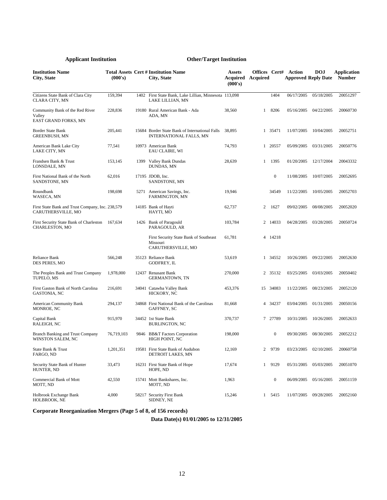| <b>Institution Name</b><br>City, State                                 | (000's)    | <b>Total Assets Cert # Institution Name</b><br>City, State                 | <b>Assets</b><br>Acquired<br>(000's) | Offices Cert#<br>Acquired |                  | Action     | <b>DOJ</b><br><b>Approved Reply Date</b> | Application<br><b>Number</b> |
|------------------------------------------------------------------------|------------|----------------------------------------------------------------------------|--------------------------------------|---------------------------|------------------|------------|------------------------------------------|------------------------------|
| Citizens State Bank of Clara City<br><b>CLARA CITY, MN</b>             | 159,394    | 1402 First State Bank, Lake Lillian, Minnesota 113,098<br>LAKE LILLIAN, MN |                                      |                           | 1404             | 06/17/2005 | 05/18/2005                               | 20051297                     |
| Community Bank of the Red River<br>Valley<br>EAST GRAND FORKS, MN      | 228,836    | 19180 Rural American Bank - Ada<br>ADA, MN                                 | 38,560                               | $\mathbf{1}$              | 8206             | 05/16/2005 | 04/22/2005                               | 20060730                     |
| Border State Bank<br>GREENBUSH, MN                                     | 205,441    | 15684 Border State Bank of International Falls<br>INTERNATIONAL FALLS, MN  | 38,895                               |                           | 1 35471          | 11/07/2005 | 10/04/2005                               | 20052751                     |
| American Bank Lake City<br>LAKE CITY, MN                               | 77,541     | 10973 American Bank<br>EAU CLAIRE, WI                                      | 74,793                               |                           | 1 20557          | 05/09/2005 | 03/31/2005                               | 20050776                     |
| Frandsen Bank & Trust<br>LONSDALE, MN                                  | 153,145    | 1399 Valley Bank Dundas<br>DUNDAS, MN                                      | 28,639                               | 1                         | 1395             | 01/20/2005 | 12/17/2004                               | 20043332                     |
| First National Bank of the North<br>SANDSTONE, MN                      | 62,016     | 17195 JDOB, Inc.<br>SANDSTONE, MN                                          |                                      |                           | $\boldsymbol{0}$ | 11/08/2005 | 10/07/2005                               | 20052695                     |
| Roundbank<br>WASECA, MN                                                | 198,698    | 5271 American Savings, Inc.<br><b>FARMINGTON, MN</b>                       | 19,946                               |                           | 34549            | 11/22/2005 | 10/05/2005                               | 20052703                     |
| First State Bank and Trust Company, Inc. 238,579<br>CARUTHERSVILLE, MO |            | 14185 Bank of Hayti<br>HAYTI, MO                                           | 62,737                               | 2                         | 1627             | 09/02/2005 | 08/08/2005                               | 20052020                     |
| First Security State Bank of Charleston<br>CHARLESTON, MO              | 167.634    | 1426 Bank of Paragould<br>PARAGOULD, AR                                    | 103,784                              |                           | 2 14033          | 04/28/2005 | 03/28/2005                               | 20050724                     |
|                                                                        |            | First Security State Bank of Southeast<br>Missouri<br>CARUTHERSVILLE, MO   | 61,781                               |                           | 4 14218          |            |                                          |                              |
| Reliance Bank<br>DES PERES, MO                                         | 566,248    | 35123 Reliance Bank<br>GODFREY, IL                                         | 53,619                               |                           | 1 34552          | 10/26/2005 | 09/22/2005                               | 20052630                     |
| The Peoples Bank and Trust Company<br>TUPELO, MS                       | 1,978,000  | 12437 Renasant Bank<br><b>GERMANTOWN, TN</b>                               | 270,000                              |                           | 2 35132          | 03/25/2005 | 03/03/2005                               | 20050402                     |
| First Gaston Bank of North Carolina<br>GASTONIA, NC                    | 216,691    | 34041 Catawba Valley Bank<br>HICKORY, NC                                   | 453,376                              |                           | 15 34083         | 11/22/2005 | 08/23/2005                               | 20052120                     |
| American Community Bank<br>MONROE, NC                                  | 294,137    | 34868 First National Bank of the Carolinas<br>GAFFNEY, SC                  | 81,668                               |                           | 4 34237          | 03/04/2005 | 01/31/2005                               | 20050156                     |
| Capital Bank<br>RALEIGH, NC                                            | 915,970    | 34452 1st State Bank<br>BURLINGTON, NC                                     | 370,737                              |                           | 7 27789          | 10/31/2005 | 10/26/2005                               | 20052633                     |
| <b>Branch Banking and Trust Company</b><br>WINSTON SALEM, NC           | 76,719,103 | 9846 BB&T Factors Corporation<br>HIGH POINT, NC                            | 198,000                              |                           | 0                | 09/30/2005 | 08/30/2005                               | 20052212                     |
| State Bank & Trust<br>FARGO, ND                                        | 1,201,351  | 19581 First State Bank of Audubon<br>DETROIT LAKES, MN                     | 12,169                               | 2                         | 9739             | 03/23/2005 | 02/10/2005                               | 20060758                     |
| Security State Bank of Hunter<br>HUNTER, ND                            | 33,473     | 16231 First State Bank of Hope<br>HOPE, ND                                 | 17,674                               | $\mathbf{1}$              | 9129             | 05/31/2005 | 05/03/2005                               | 20051070                     |
| Commercial Bank of Mott<br>MOTT, ND                                    | 42,550     | 15741 Mott Bankshares, Inc.<br>MOTT, ND                                    | 1,963                                |                           | $\boldsymbol{0}$ | 06/09/2005 | 05/16/2005                               | 20051159                     |
| Holbrook Exchange Bank<br>HOLBROOK, NE                                 | 4,000      | 58217 Security First Bank<br>SIDNEY, NE                                    | 15,246                               | $\mathbf{1}$              | 5415             | 11/07/2005 | 09/28/2005                               | 20052160                     |

**Corporate Reorganization Mergers (Page 5 of 8, of 156 records)**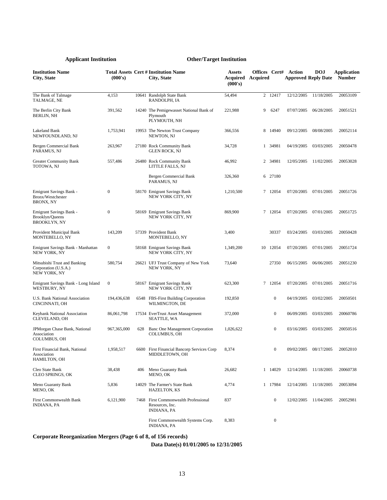| <b>Institution Name</b><br>City, State                               | (000's)          |      | <b>Total Assets Cert # Institution Name</b><br>City, State                      | <b>Assets</b><br>Acquired<br>(000's) | Offices Cert#<br>Acquired |                  | Action<br><b>Approved Reply Date</b> | <b>DOJ</b> | Application<br><b>Number</b> |
|----------------------------------------------------------------------|------------------|------|---------------------------------------------------------------------------------|--------------------------------------|---------------------------|------------------|--------------------------------------|------------|------------------------------|
| The Bank of Talmage<br>TALMAGE, NE                                   | 4,153            |      | 10641 Randolph State Bank<br>RANDOLPH, IA                                       | 54,494                               |                           | 2 12417          | 12/12/2005                           | 11/18/2005 | 20053109                     |
| The Berlin City Bank<br><b>BERLIN, NH</b>                            | 391,562          |      | 14240 The Pemigewasset National Bank of<br>Plymouth<br>PLYMOUTH, NH             | 221,988                              | 9                         | 6247             | 07/07/2005                           | 06/28/2005 | 20051521                     |
| <b>Lakeland Bank</b><br>NEWFOUNDLAND, NJ                             | 1,753,941        |      | 19953 The Newton Trust Company<br>NEWTON, NJ                                    | 366,556                              |                           | 8 14940          | 09/12/2005                           | 08/08/2005 | 20052114                     |
| Bergen Commercial Bank<br>PARAMUS, NJ                                | 263,967          |      | 27180 Rock Community Bank<br>GLEN ROCK, NJ                                      | 34,728                               |                           | 1 34981          | 04/19/2005                           | 03/03/2005 | 20050478                     |
| <b>Greater Community Bank</b><br>TOTOWA, NJ                          | 557,486          |      | 26480 Rock Community Bank<br>LITTLE FALLS, NJ                                   | 46,992                               |                           | 2 34981          | 12/05/2005                           | 11/02/2005 | 20053028                     |
|                                                                      |                  |      | Bergen Commercial Bank<br>PARAMUS, NJ                                           | 326,360                              |                           | 6 27180          |                                      |            |                              |
| Emigrant Savings Bank -<br>Bronx/Westchester<br><b>BRONX, NY</b>     | $\boldsymbol{0}$ |      | 58170 Emigrant Savings Bank<br>NEW YORK CITY, NY                                | 1,210,500                            |                           | 7 12054          | 07/20/2005                           | 07/01/2005 | 20051726                     |
| Emigrant Savings Bank -<br>Brooklyn/Queens<br><b>BROOKLYN, NY</b>    | $\boldsymbol{0}$ |      | 58169 Emigrant Savings Bank<br>NEW YORK CITY, NY                                | 869,900                              |                           | 7 12054          | 07/20/2005                           | 07/01/2005 | 20051725                     |
| Provident Municipal Bank<br>MONTEBELLO, NY                           | 143,209          |      | 57339 Provident Bank<br>MONTEBELLO, NY                                          | 3,400                                |                           | 30337            | 03/24/2005                           | 03/03/2005 | 20050428                     |
| Emigrant Savings Bank - Manhattan<br>NEW YORK, NY                    | $\boldsymbol{0}$ |      | 58168 Emigrant Savings Bank<br>NEW YORK CITY, NY                                | 1,349,200                            |                           | 10 12054         | 07/20/2005                           | 07/01/2005 | 20051724                     |
| Mitsubishi Trust and Banking<br>Corporation (U.S.A.)<br>NEW YORK, NY | 580,754          |      | 26621 UFJ Trust Company of New York<br>NEW YORK, NY                             | 73,640                               |                           | 27350            | 06/15/2005                           | 06/06/2005 | 20051230                     |
| Emigrant Savings Bank - Long Island<br>WESTBURY, NY                  | $\boldsymbol{0}$ |      | 58167 Emigrant Savings Bank<br>NEW YORK CITY, NY                                | 623,300                              |                           | 7 12054          | 07/20/2005                           | 07/01/2005 | 20051716                     |
| U.S. Bank National Association<br>CINCINNATI, OH                     | 194,436,638      |      | 6548 FBS-First Building Corporation<br>WILMINGTON, DE                           | 192,850                              |                           | 0                | 04/19/2005                           | 03/02/2005 | 20050501                     |
| Keybank National Association<br>CLEVELAND, OH                        | 86,061,798       |      | 17534 EverTrust Asset Management<br><b>SEATTLE, WA</b>                          | 372,000                              |                           | 0                | 06/09/2005                           | 03/03/2005 | 20060786                     |
| JPMorgan Chase Bank, National<br>Association<br><b>COLUMBUS, OH</b>  | 967, 365, 000    | 628  | Banc One Management Corporation<br>COLUMBUS, OH                                 | 1,026,622                            |                           | $\boldsymbol{0}$ | 03/16/2005                           | 03/03/2005 | 20050516                     |
| First Financial Bank, National<br>Association<br>HAMILTON, OH        | 1,958,517        |      | 6600 First Financial Bancorp Services Corp<br>MIDDLETOWN, OH                    | 8,374                                |                           | $\boldsymbol{0}$ | 09/02/2005                           | 08/17/2005 | 20052010                     |
| Cleo State Bank<br><b>CLEO SPRINGS, OK</b>                           | 38,438           | 406  | Meno Guaranty Bank<br>MENO, OK                                                  | 26,682                               |                           | 1 14029          | 12/14/2005                           | 11/18/2005 | 20060738                     |
| Meno Guaranty Bank<br>MENO, OK                                       | 5,836            |      | 14029 The Farmer's State Bank<br>HAZELTON, KS                                   | 4,774                                |                           | 1 17984          | 12/14/2005                           | 11/18/2005 | 20053094                     |
| <b>First Commonwealth Bank</b><br><b>INDIANA, PA</b>                 | 6,121,900        | 7468 | <b>First Commonwealth Professional</b><br>Resources, Inc.<br><b>INDIANA, PA</b> | 837                                  |                           | $\boldsymbol{0}$ | 12/02/2005                           | 11/04/2005 | 20052981                     |
|                                                                      |                  |      | First Commonwealth Systems Corp.<br>INDIANA, PA                                 | 8,383                                |                           | $\boldsymbol{0}$ |                                      |            |                              |

**Corporate Reorganization Mergers (Page 6 of 8, of 156 records)**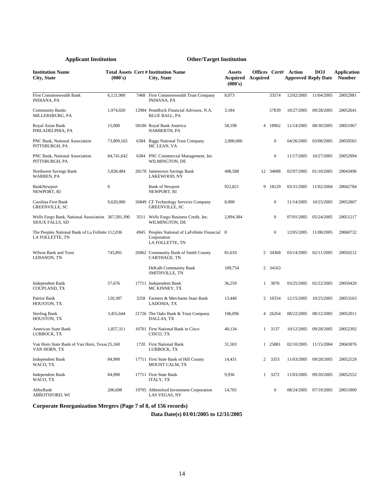| <b>Institution Name</b><br>City, State                                       | (000's)      |      | <b>Total Assets Cert # Institution Name</b><br>City, State                        | <b>Assets</b><br><b>Acquired</b> Acquired<br>(000's) | Offices Cert#  |                  | Action<br><b>Approved Reply Date</b> | <b>DOJ</b>            | <b>Application</b><br><b>Number</b> |
|------------------------------------------------------------------------------|--------------|------|-----------------------------------------------------------------------------------|------------------------------------------------------|----------------|------------------|--------------------------------------|-----------------------|-------------------------------------|
| <b>First Commonwealth Bank</b><br><b>INDIANA, PA</b>                         | 6,121,900    | 7468 | First Commonwealth Trust Company<br><b>INDIANA, PA</b>                            | 8,073                                                |                | 33574            | 12/02/2005                           | 11/04/2005            | 20052981                            |
| <b>Community Banks</b><br>MILLERSBURG, PA                                    | 1,974,020    |      | 12984 PennRock Financial Advisors, N.A.<br><b>BLUE BALL, PA</b>                   | 3,184                                                |                | 57839            | 10/27/2005                           | 09/28/2005            | 20052641                            |
| Royal Asian Bank<br>PHILADELPHIA, PA                                         | 15,000       |      | 58196 Royal Bank America<br>NARBERTH, PA                                          | 58,198                                               |                | 4 18962          | 11/14/2005                           | 08/30/2005            | 20051967                            |
| PNC Bank, National Association<br>PITTSBURGH, PA                             | 73,809,165   | 6384 | <b>Riggs National Trust Company</b><br>MC LEAN, VA                                | 2,000,000                                            |                | $\boldsymbol{0}$ | 04/26/2005                           | 03/08/2005            | 20050565                            |
| PNC Bank, National Association<br>PITTSBURGH, PA                             | 84,741,642   |      | 6384 PNC Commercial Management, Inc.<br>WILMINGTON, DE                            |                                                      |                | $\mathbf{0}$     | 11/17/2005                           | 10/27/2005            | 20052994                            |
| Northwest Savings Bank<br>WARREN, PA                                         | 5,828,484    |      | 28178 Jamestown Savings Bank<br><b>LAKEWOOD, NY</b>                               | 408,588                                              |                | 12 34088         | 02/07/2005                           | 01/10/2005            | 20043496                            |
| BankNewport<br>NEWPORT, RI                                                   | $\mathbf{0}$ |      | <b>Bank of Newport</b><br>NEWPORT, RI                                             | 922,821                                              |                | 9 18129          | 03/31/2005                           | 11/02/2004            | 20042784                            |
| Carolina First Bank<br><b>GREENVILLE, SC</b>                                 | 9,620,000    |      | 26849 CF Technology Services Company<br><b>GREENVILLE, SC</b>                     | 8,000                                                |                | $\mathbf{0}$     | 11/14/2005                           | 10/25/2005            | 20052807                            |
| Wells Fargo Bank, National Association 367,581,390<br><b>SIOUX FALLS, SD</b> |              |      | 3511 Wells Fargo Business Credit, Inc.<br>WILMINGTON, DE                          | 2,894,384                                            |                | $\overline{0}$   | 07/01/2005                           | 05/24/2005            | 20051217                            |
| The Peoples National Bank of La Follette 112,036<br>LA FOLLETTE, TN          |              |      | 4945 Peoples National of LaFollette Financial 8<br>Corporation<br>LA FOLLETTE, TN |                                                      |                | $\mathbf{0}$     | 12/05/2005                           | 11/08/2005            | 20060732                            |
| Wilson Bank and Trust<br>LEBANON, TN                                         | 745,891      |      | 26962 Community Bank of Smith County<br>CARTHAGE, TN                              | 81.610                                               |                | 2 34368          | 03/14/2005                           | 02/11/2005            | 20050212                            |
|                                                                              |              |      | DeKalb Community Bank<br>SMITHVILLE, TN                                           | 109,754                                              |                | 2 34163          |                                      |                       |                                     |
| <b>Independent Bank</b><br>COUPLAND, TX                                      | 57,676       |      | 17711 Independent Bank<br>MC KINNEY, TX                                           | 36,259                                               | $\mathbf{1}$   | 3076             | 03/25/2005                           | 02/22/2005            | 20050420                            |
| Patriot Bank<br>HOUSTON, TX                                                  | 120,387      | 3258 | Farmers & Merchants State Bank<br>LADONIA, TX                                     | 13,446                                               |                | 2 10354          | 12/15/2005                           | 10/25/2005            | 20053163                            |
| <b>Sterling Bank</b><br>HOUSTON, TX                                          | 3,455,644    |      | 21726 The Oaks Bank & Trust Company<br>DALLAS, TX                                 | 106,096                                              |                | 4 26264          | 08/22/2005                           | 08/12/2005            | 20052011                            |
| American State Bank<br>LUBBOCK, TX                                           | 1,857,311    |      | 16701 First National Bank in Cisco<br>CISCO, TX                                   | 40,134                                               | $\mathbf{1}$   | 3137             | 10/12/2005                           | 09/28/2005            | 20052392                            |
| Van Horn State Bank of Van Horn, Texas 25,168<br>VAN HORN, TX                |              |      | 1720 First National Bank<br>LUBBOCK, TX                                           | 31,503                                               |                | 1 25881          | 02/10/2005                           | 11/15/2004            | 20043076                            |
| <b>Independent Bank</b><br>WACO, TX                                          | 84,990       |      | 17711 First State Bank of Hill County<br>MOUNT CALM, TX                           | 14,431                                               | $\overline{c}$ | 3353             | 11/03/2005                           | 09/28/2005            | 20052529                            |
| <b>Independent Bank</b><br>WACO, TX                                          | 84,990       |      | 17711 First State Bank<br><b>ITALY, TX</b>                                        | 9,936                                                | $\mathbf{1}$   | 3272             | 11/03/2005                           | 09/20/2005            | 20052552                            |
| AbbyBank<br>ABBOTSFORD, WI                                                   | 206,608      |      | 19795 Abbotsford Investment Corporation<br>LAS VEGAS, NV                          | 14,705                                               |                | $\overline{0}$   |                                      | 08/24/2005 07/19/2005 | 20051800                            |

**Corporate Reorganization Mergers (Page 7 of 8, of 156 records)**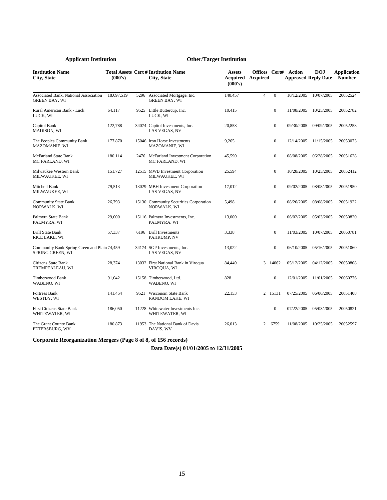| <b>Institution Name</b><br><b>City, State</b>                    | (000's)    |      | <b>Total Assets Cert # Institution Name</b><br>City, State | <b>Assets</b><br>Acquired<br>(000's) | <b>Acquired</b> |              | <b>Offices Cert# Action</b><br><b>Approved Reply Date</b> | <b>DOJ</b> | <b>Application</b><br><b>Number</b> |
|------------------------------------------------------------------|------------|------|------------------------------------------------------------|--------------------------------------|-----------------|--------------|-----------------------------------------------------------|------------|-------------------------------------|
| Associated Bank, National Association<br><b>GREEN BAY, WI</b>    | 18,097,519 | 5296 | Associated Mortgage, Inc.<br><b>GREEN BAY, WI</b>          | 140,457                              | $\overline{4}$  | $\mathbf{0}$ | 10/12/2005                                                | 10/07/2005 | 20052524                            |
| Rural American Bank - Luck<br>LUCK, WI                           | 64,117     |      | 9525 Little Buttercup, Inc.<br>LUCK, WI                    | 10,415                               |                 | $\mathbf{0}$ | 11/08/2005                                                | 10/25/2005 | 20052782                            |
| Capitol Bank<br>MADISON, WI                                      | 122,788    |      | 34074 Capitol Investments, Inc.<br>LAS VEGAS, NV           | 20,858                               |                 | $\mathbf{0}$ | 09/30/2005                                                | 09/09/2005 | 20052258                            |
| The Peoples Community Bank<br>MAZOMANIE, WI                      | 177,870    |      | 15046 Iron Horse Investments<br><b>MAZOMANIE, WI</b>       | 9,265                                |                 | $\mathbf{0}$ | 12/14/2005                                                | 11/15/2005 | 20053073                            |
| <b>McFarland State Bank</b><br>MC FARLAND, WI                    | 180,114    |      | 2476 McFarland Investment Corporation<br>MC FARLAND, WI    | 45,590                               |                 | $\mathbf{0}$ | 08/08/2005                                                | 06/28/2005 | 20051628                            |
| Milwaukee Western Bank<br>MILWAUKEE, WI                          | 151,727    |      | 12515 MWB Investment Corporation<br>MILWAUKEE, WI          | 25,594                               |                 | $\mathbf{0}$ | 10/28/2005                                                | 10/25/2005 | 20052412                            |
| Mitchell Bank<br>MILWAUKEE, WI                                   | 79,513     |      | 13029 MBH Investment Corporation<br>LAS VEGAS, NV          | 17,012                               |                 | $\mathbf{0}$ | 09/02/2005                                                | 08/08/2005 | 20051950                            |
| <b>Community State Bank</b><br>NORWALK, WI                       | 26,793     |      | 15130 Community Securities Corporation<br>NORWALK, WI      | 5,498                                |                 | $\mathbf{0}$ | 08/26/2005                                                | 08/08/2005 | 20051922                            |
| Palmyra State Bank<br>PALMYRA, WI                                | 29,000     |      | 15116 Palmyra Investments, Inc.<br>PALMYRA, WI             | 13,000                               |                 | $\mathbf{0}$ | 06/02/2005                                                | 05/03/2005 | 20050820                            |
| <b>Brill State Bank</b><br>RICE LAKE, WI                         | 57,337     |      | 6196 Brill Investments<br>PAHRUMP, NV                      | 3,338                                |                 | $\mathbf{0}$ | 11/03/2005                                                | 10/07/2005 | 20060781                            |
| Community Bank Spring Green and Plain 74,459<br>SPRING GREEN, WI |            |      | 34174 SGP Investments, Inc.<br>LAS VEGAS, NV               | 13,022                               |                 | $\mathbf{0}$ | 06/10/2005                                                | 05/16/2005 | 20051060                            |
| <b>Citizens State Bank</b><br>TREMPEALEAU, WI                    | 28,374     |      | 13032 First National Bank in Viroqua<br>VIROQUA, WI        | 84,449                               |                 | 3 14062      | 05/12/2005                                                | 04/12/2005 | 20050808                            |
| Timberwood Bank<br>WABENO, WI                                    | 91,042     |      | 15158 Timberwood, Ltd.<br>WABENO, WI                       | 828                                  |                 | $\mathbf{0}$ | 12/01/2005                                                | 11/01/2005 | 20060776                            |
| <b>Fortress Bank</b><br>WESTBY, WI                               | 141,454    | 9521 | Wisconsin State Bank<br>RANDOM LAKE, WI                    | 22,153                               |                 | 2 15131      | 07/25/2005                                                | 06/06/2005 | 20051408                            |
| <b>First Citizens State Bank</b><br>WHITEWATER, WI               | 186,050    |      | 11228 Whitewater Investments Inc.<br>WHITEWATER, WI        |                                      |                 | $\mathbf{0}$ | 07/22/2005                                                | 05/03/2005 | 20050821                            |
| The Grant County Bank<br>PETERSBURG, WV                          | 180,873    |      | 11953 The National Bank of Davis<br>DAVIS, WV              | 26,013                               | 2               | 6759         | 11/08/2005                                                | 10/25/2005 | 20052597                            |

**Corporate Reorganization Mergers (Page 8 of 8, of 156 records)**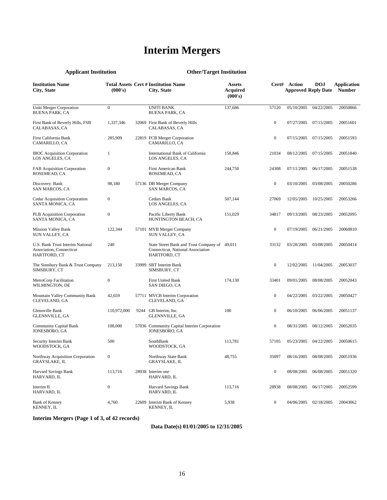## **Interim Mergers**

**Cert# Action** 

**Approved Reply Date Number DOJ** 

0 07/27/2005 07/15/2005 20051601

**Application** 

#### **Institution Name City, State Total Assets Cert # Institution Name (000's) City, State Assets Acquired (000's)** Uniti Merger Corporation BUENA PARK, CA 0 UNITI BANK BUENA PARK, CA 137,686 57120 05/10/2005 04/22/2005 20050866 First Bank of Beverly Hills, FSB CALABASAS, CA 1,337,346 32069 First Bank of Beverly Hills CALABASAS, CA First California Bank 285,909 22819 FCB Merger Corporation CAMARILLO, CA 1 International Bank of California 158,846 LOS ANGELES, CA

**Applicant Institution Other/Target Institution** 

| First California Bank<br>CAMARILLO, CA                                              | 285,909          | 22819 FCB Merger Corporation<br>CAMARILLO, CA                                                      |         | $\boldsymbol{0}$ |            | 07/15/2005 07/15/2005 | 20051593 |
|-------------------------------------------------------------------------------------|------------------|----------------------------------------------------------------------------------------------------|---------|------------------|------------|-----------------------|----------|
| <b>IBOC</b> Acquisition Corporation<br>LOS ANGELES, CA                              | $\mathbf{1}$     | International Bank of California<br>LOS ANGELES, CA                                                | 158,846 | 21034            | 08/12/2005 | 07/15/2005            | 20051840 |
| <b>FAB Acquisition Corporation</b><br>ROSEMEAD, CA                                  | $\boldsymbol{0}$ | <b>First American Bank</b><br>ROSEMEAD, CA                                                         | 244,750 | 24308            | 07/11/2005 | 06/17/2005            | 20051538 |
| Discovery Bank<br><b>SAN MARCOS, CA</b>                                             | 98,180           | 57136 DB Merger Company<br><b>SAN MARCOS, CA</b>                                                   |         | $\mathbf{0}$     | 03/10/2005 | 03/08/2005            | 20050286 |
| <b>Cedar Acquisition Corporation</b><br>SANTA MONICA, CA                            | $\boldsymbol{0}$ | Cedars Bank<br>LOS ANGELES, CA                                                                     | 507,144 | 27069            | 12/05/2005 | 10/25/2005            | 20053266 |
| PLB Acquisition Corporation<br>SANTA MONICA, CA                                     | $\boldsymbol{0}$ | Pacific Liberty Bank<br>HUNTINGTON BEACH, CA                                                       | 151,029 | 34817            | 09/13/2005 | 08/23/2005            | 20052095 |
| <b>Mission Valley Bank</b><br>SUN VALLEY, CA                                        | 122,344          | 57101 MVB Merger Company<br><b>SUN VALLEY, CA</b>                                                  |         | $\mathbf{0}$     | 07/19/2005 | 06/21/2005            | 20060810 |
| U.S. Bank Trust Interim National<br><b>Association, Connecticut</b><br>HARTFORD, CT | 240              | State Street Bank and Trust Company of 49,011<br>Connecticut, National Association<br>HARTFORD, CT |         | 33132            | 03/28/2005 | 03/08/2005            | 20050414 |
| The Simsbury Bank & Trust Company<br>SIMSBURY, CT                                   | 213,150          | 33999 SBT Interim Bank<br>SIMSBURY, CT                                                             |         | $\mathbf{0}$     | 12/02/2005 | 11/04/2005            | 20053037 |
| MetroCorp Facilitation<br>WILMINGTON, DE                                            | $\boldsymbol{0}$ | <b>First United Bank</b><br>SAN DIEGO, CA                                                          | 174,130 | 33401            | 09/01/2005 | 08/08/2005            | 20052043 |
| Mountain Valley Community Bank<br>CLEVELAND, GA                                     | 42,659           | 57711 MVCB Interim Corporation<br>CLEVELAND, GA                                                    |         | $\mathbf{0}$     | 04/22/2005 | 03/22/2005            | 20050427 |
| Glennville Bank<br>GLENNVILLE, GA                                                   | 110,972,000      | 9244 GB Interim, Inc.<br><b>GLENNVILLE, GA</b>                                                     | 100     | $\mathbf{0}$     | 06/10/2005 | 06/06/2005            | 20051137 |
| <b>Community Capital Bank</b><br>JONESBORO, GA                                      | 108,000          | 57036 Community Capital Interim Corporation<br>JONESBORO, GA                                       |         | $\mathbf{0}$     | 08/31/2005 | 08/12/2005            | 20052035 |
| Security Interim Bank<br>WOODSTOCK, GA                                              | 500              | SouthBank<br>WOODSTOCK, GA                                                                         | 113.781 | 57105            | 05/23/2005 | 04/22/2005            | 20050615 |
| Northway Acquisition Corporation<br>GRAYSLAKE, IL                                   | $\mathbf{0}$     | Northway State Bank<br><b>GRAYSLAKE, IL</b>                                                        | 48,755  | 35097            | 08/16/2005 | 08/08/2005            | 20051936 |
| Harvard Savings Bank<br>HARVARD, IL                                                 | 113,716          | 28938 Interim one<br>HARVARD, IL                                                                   |         | $\mathbf{0}$     | 08/08/2005 | 06/08/2005            | 20051320 |
| Interim II<br>HARVARD, IL                                                           | $\boldsymbol{0}$ | Harvard Savings Bank<br>HARVARD, IL                                                                | 113,716 | 28938            | 08/08/2005 | 06/17/2005            | 20052599 |
| <b>Bank of Kenney</b><br>KENNEY, IL                                                 | 4.760            | 22609 Interim Bank of Kenney<br>KENNEY, IL                                                         | 5,938   | $\mathbf{0}$     | 04/06/2005 | 02/18/2005            | 20043062 |

#### **Interim Mergers (Page 1 of 3, of 42 records)**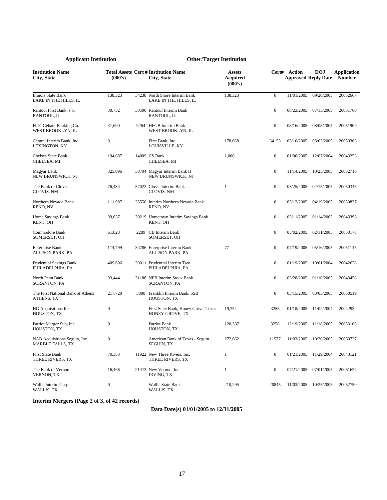| <b>Institution Name</b><br>City, State                   | (000's)          |      | <b>Total Assets Cert # Institution Name</b><br>City, State | Assets<br><b>Acquired</b><br>(000's) |                  | Cert# Action<br><b>Approved Reply Date</b> | <b>DOJ</b> | <b>Application</b><br><b>Number</b> |
|----------------------------------------------------------|------------------|------|------------------------------------------------------------|--------------------------------------|------------------|--------------------------------------------|------------|-------------------------------------|
| Illinois State Bank<br>LAKE IN THE HILLS, IL             | 138,323          |      | 34238 North Shore Interim Bank<br>LAKE IN THE HILLS, IL    | 138,323                              | $\mathbf{0}$     | 11/01/2005                                 | 09/20/2005 | 20052667                            |
| Rantoul First Bank, s.b.<br>RANTOUL, IL                  | 30,752           |      | 30590 Rantoul Interim Bank<br>RANTOUL. IL                  |                                      | $\mathbf{0}$     | 08/23/2005                                 | 07/15/2005 | 20051760                            |
| H. F. Gehant Banking Co.<br>WEST BROOKLYN, IL            | 31,690           |      | 9264 HFGB Interim Bank<br>WEST BROOKLYN, IL                |                                      | $\boldsymbol{0}$ | 08/16/2005                                 | 08/08/2005 | 20051909                            |
| Central Interim Bank, Inc.<br>LEXINGTON, KY              | $\mathbf{0}$     |      | First Bank, Inc.<br>LOUISVILLE, KY                         | 178,668                              | 34153            | 03/16/2005                                 | 03/03/2005 | 20050363                            |
| Chelsea State Bank<br>CHELSEA, MI                        | 194,687          |      | 14009 CS Bank<br>CHELSEA, MI                               | 1,000                                | $\boldsymbol{0}$ | 01/06/2005                                 | 12/07/2004 | 20043253                            |
| Magyar Bank<br>NEW BRUNSWICK, NJ                         | 325,096          |      | 30704 Magyar Interim Bank II<br>NEW BRUNSWICK, NJ          |                                      | $\boldsymbol{0}$ | 11/14/2005                                 | 10/25/2005 | 20052716                            |
| The Bank of Clovis<br>CLOVIS, NM                         | 76,434           |      | 57022 Clovis Interim Bank<br>CLOVIS, NM                    | 1                                    | $\mathbf{0}$     | 03/25/2005                                 | 02/15/2005 | 20050345                            |
| Northern Nevada Bank<br>RENO, NV                         | 111,987          |      | 35550 Interim Northern Nevada Bank<br>RENO, NV             |                                      | $\mathbf{0}$     | 05/12/2005                                 | 04/19/2005 | 20050837                            |
| Home Savings Bank<br>KENT, OH                            | 99,637           |      | 30219 Hometown Interim Savings Bank<br>KENT, OH            |                                      | $\mathbf{0}$     | 03/11/2005                                 | 01/14/2005 | 20043396                            |
| Commodore Bank<br>SOMERSET, OH                           | 61,823           | 2289 | CB Interim Bank<br>SOMERSET, OH                            |                                      | $\mathbf{0}$     | 03/02/2005                                 | 02/11/2005 | 20050178                            |
| <b>Enterprise Bank</b><br><b>ALLISON PARK, PA</b>        | 114,799          |      | 34786 Enterprise Interim Bank<br><b>ALLISON PARK, PA</b>   | 77                                   | $\mathbf{0}$     | 07/19/2005                                 | 05/16/2005 | 20051145                            |
| <b>Prudential Savings Bank</b><br>PHILADELPHIA, PA       | 409,606          |      | 30011 Prudential Interim Two<br>PHILADELPHIA, PA           |                                      | $\boldsymbol{0}$ | 01/19/2005                                 | 10/01/2004 | 20042628                            |
| North Penn Bank<br><b>SCRANTON, PA</b>                   | 93,444           |      | 31188 NPB Interim Stock Bank<br><b>SCRANTON, PA</b>        |                                      | $\boldsymbol{0}$ | 03/28/2005                                 | 01/10/2005 | 20043458                            |
| The First National Bank of Athens<br>ATHENS, TX          | 217,720          | 3080 | Franklin Interim Bank, SSB<br>HOUSTON, TX                  |                                      | $\mathbf{0}$     | 03/15/2005                                 | 03/03/2005 | 20050519                            |
| HG Acquisitions Inc.<br>HOUSTON, TX                      | $\overline{0}$   |      | First State Bank, Honey Grove, Texas<br>HONEY GROVE, TX    | 19,254                               | 3258             | 01/18/2005                                 | 11/02/2004 | 20042932                            |
| Patriot Merger Sub, Inc.<br>HOUSTON, TX                  | $\boldsymbol{0}$ |      | Patriot Bank<br>HOUSTON, TX                                | 120,387                              | 3258             | 12/19/2005                                 | 11/18/2005 | 20053106                            |
| NAB Acquisitions Seguin, Inc.<br><b>MARBLE FALLS, TX</b> | $\mathbf{0}$     |      | American Bank of Texas - Seguin<br><b>SEGUIN, TX</b>       | 272,662                              | 11577            | 11/03/2005                                 | 10/26/2005 | 20060727                            |
| <b>First State Bank</b><br>THREE RIVERS, TX              | 70,353           |      | 11922 New Three Rivers, Inc.<br>THREE RIVERS, TX           | $\mathbf{1}$                         | $\boldsymbol{0}$ | 01/21/2005                                 | 11/29/2004 | 20043121                            |
| The Bank of Vernon<br><b>VERNON, TX</b>                  | 16,466           |      | 21413 New Vernon, Inc.<br><b>IRVING, TX</b>                | 1                                    | $\mathbf{0}$     | 07/21/2005                                 | 07/01/2005 | 20051624                            |
| Wallis Interim Corp<br>WALLIS, TX                        | $\boldsymbol{0}$ |      | Wallis State Bank<br>WALLIS, TX                            | 210,295                              | 20845            | 11/03/2005                                 | 10/25/2005 | 20052750                            |

**Interim Mergers (Page 2 of 3, of 42 records)**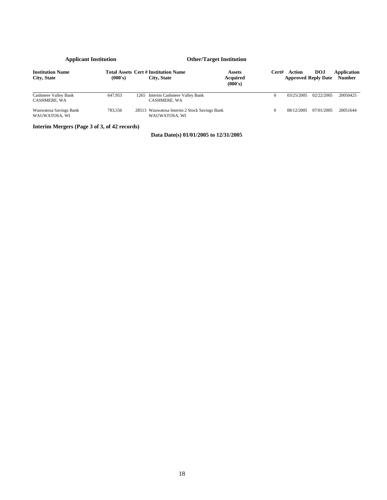| <b>Institution Name</b><br>City, State      | (000's) |      | <b>Total Assets Cert # Institution Name</b><br>City, State    | <b>Assets</b><br><b>Acquired</b><br>(000's) | Cert# | Action<br><b>Approved Reply Date</b> | <b>DOJ</b> | Application<br><b>Number</b> |
|---------------------------------------------|---------|------|---------------------------------------------------------------|---------------------------------------------|-------|--------------------------------------|------------|------------------------------|
| Cashmere Valley Bank<br><b>CASHMERE, WA</b> | 647,953 | 1265 | Interim Cashmere Valley Bank<br><b>CASHMERE, WA</b>           |                                             |       | 03/25/2005                           | 02/22/2005 | 20050425                     |
| Wauwatosa Savings Bank<br>WAUWATOSA, WI     | 783.556 |      | 28513 Wauwatosa Interim 2 Stock Savings Bank<br>WAUWATOSA, WI |                                             |       | 08/12/2005                           | 07/01/2005 | 20051644                     |

**Interim Mergers (Page 3 of 3, of 42 records)**